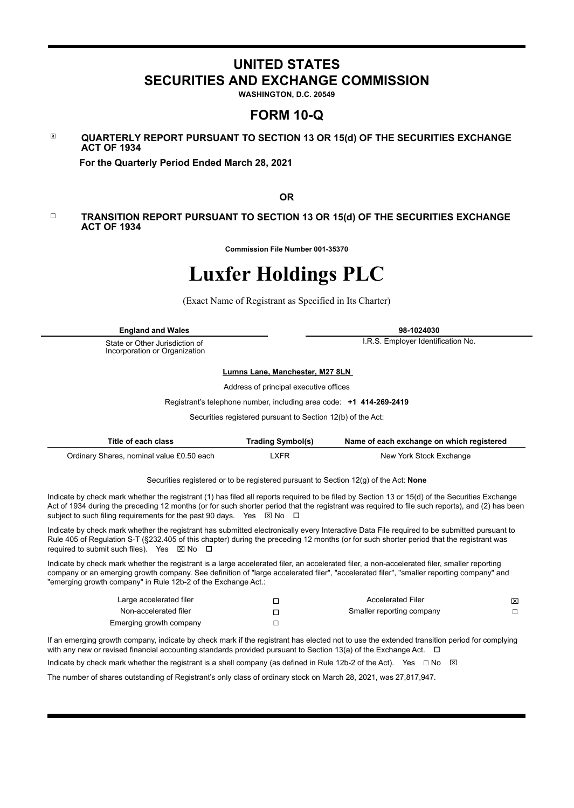# **UNITED STATES SECURITIES AND EXCHANGE COMMISSION**

**WASHINGTON, D.C. 20549**

# **FORM 10-Q**

#### ☒ **QUARTERLY REPORT PURSUANT TO SECTION 13 OR 15(d) OF THE SECURITIES EXCHANGE ACT OF 1934**

 **For the Quarterly Period Ended March 28, 2021**

**OR**

#### ☐ **TRANSITION REPORT PURSUANT TO SECTION 13 OR 15(d) OF THE SECURITIES EXCHANGE ACT OF 1934**

**Commission File Number 001-35370**

# **Luxfer Holdings PLC**

(Exact Name of Registrant as Specified in Its Charter)

| <b>England and Wales</b>                                        | 98-1024030                         |
|-----------------------------------------------------------------|------------------------------------|
| State or Other Jurisdiction of<br>Incorporation or Organization | I.R.S. Employer Identification No. |

#### **Lumns Lane, Manchester, M27 8LN**

Address of principal executive offices

Registrant's telephone number, including area code: **+1 414-269-2419**

Securities registered pursuant to Section 12(b) of the Act:

| Title of each class                       | <b>Trading Symbol(s)</b> | Name of each exchange on which registered |
|-------------------------------------------|--------------------------|-------------------------------------------|
| Ordinary Shares, nominal value £0.50 each | .XFR                     | New York Stock Exchange                   |

Securities registered or to be registered pursuant to Section 12(g) of the Act: **None**

Indicate by check mark whether the registrant (1) has filed all reports required to be filed by Section 13 or 15(d) of the Securities Exchange Act of 1934 during the preceding 12 months (or for such shorter period that the registrant was required to file such reports), and (2) has been subject to such filing requirements for the past 90 days. Yes  $\boxtimes$  No  $\Box$ 

Indicate by check mark whether the registrant has submitted electronically every Interactive Data File required to be submitted pursuant to Rule 405 of Regulation S-T (§232.405 of this chapter) during the preceding 12 months (or for such shorter period that the registrant was required to submit such files). Yes  $\boxtimes$  No  $\Box$ 

Indicate by check mark whether the registrant is a large accelerated filer, an accelerated filer, a non-accelerated filer, smaller reporting company or an emerging growth company. See definition of "large accelerated filer", "accelerated filer", "smaller reporting company" and "emerging growth company" in Rule 12b-2 of the Exchange Act.:

| Large accelerated filer | <b>Accelerated Filer</b>  | ⊠ |
|-------------------------|---------------------------|---|
| Non-accelerated filer   | Smaller reporting company |   |
| Emerging growth company |                           |   |

If an emerging growth company, indicate by check mark if the registrant has elected not to use the extended transition period for complying with any new or revised financial accounting standards provided pursuant to Section 13(a) of the Exchange Act.  $\Box$ 

Indicate by check mark whether the registrant is a shell company (as defined in Rule 12b-2 of the Act). Yes  $\Box$  No  $\boxtimes$ 

The number of shares outstanding of Registrant's only class of ordinary stock on March 28, 2021, was 27,817,947.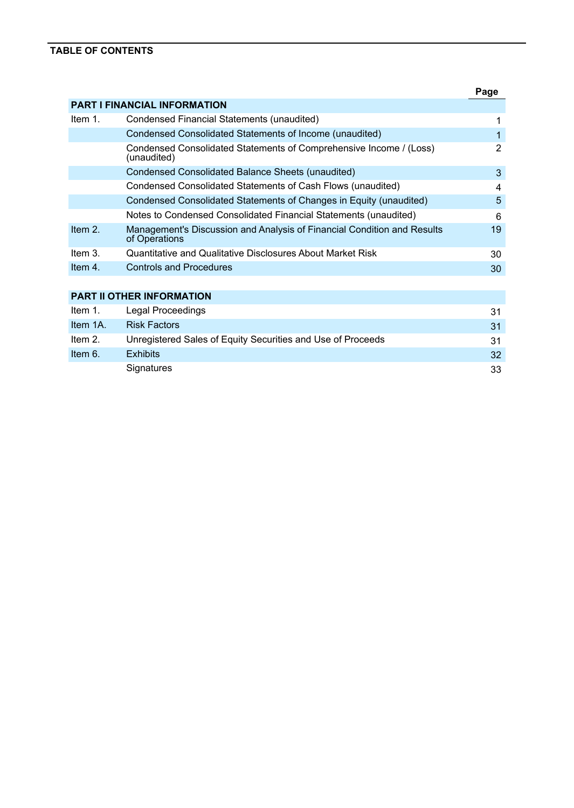# **TABLE OF CONTENTS**

|         |                                                                                          | Page |
|---------|------------------------------------------------------------------------------------------|------|
|         | <b>PART I FINANCIAL INFORMATION</b>                                                      |      |
| Item 1. | Condensed Financial Statements (unaudited)                                               | 1    |
|         | Condensed Consolidated Statements of Income (unaudited)                                  | 1    |
|         | Condensed Consolidated Statements of Comprehensive Income / (Loss)<br>(unaudited)        | 2    |
|         | <b>Condensed Consolidated Balance Sheets (unaudited)</b>                                 | 3    |
|         | Condensed Consolidated Statements of Cash Flows (unaudited)                              | 4    |
|         | Condensed Consolidated Statements of Changes in Equity (unaudited)                       | 5    |
|         | Notes to Condensed Consolidated Financial Statements (unaudited)                         | 6    |
| Item 2. | Management's Discussion and Analysis of Financial Condition and Results<br>of Operations | 19   |
| Item 3. | Quantitative and Qualitative Disclosures About Market Risk                               | 30   |
| Item 4. | <b>Controls and Procedures</b>                                                           | 30   |
|         |                                                                                          |      |
|         | <b>PART II OTHER INFORMATION</b>                                                         |      |
| Item 1. | Legal Proceedings                                                                        | 31   |
|         |                                                                                          |      |

| Item 1A. | <b>Risk Factors</b>                                         |                 |
|----------|-------------------------------------------------------------|-----------------|
| Item 2.  | Unregistered Sales of Equity Securities and Use of Proceeds | 31.             |
| Item 6.  | <b>Exhibits</b>                                             | 32 <sup>2</sup> |
|          | Signatures                                                  | 33              |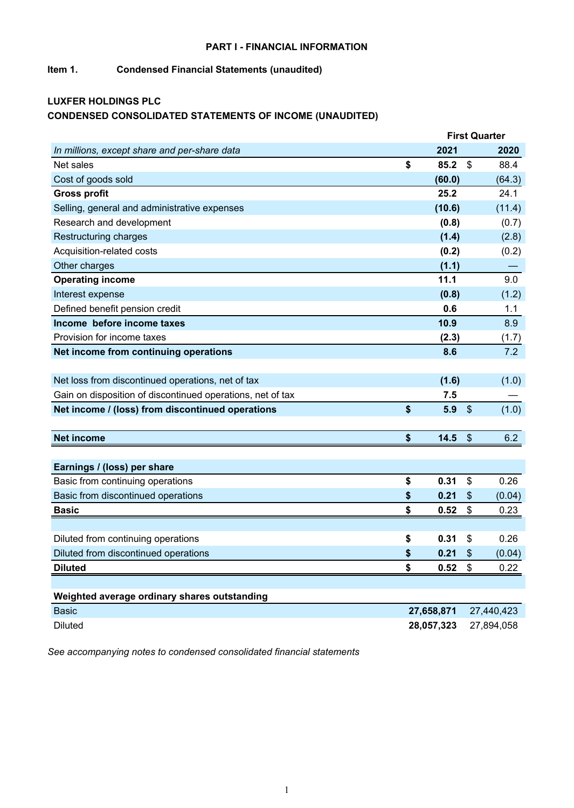# **PART I - FINANCIAL INFORMATION**

# **Item 1. Condensed Financial Statements (unaudited)**

# **LUXFER HOLDINGS PLC CONDENSED CONSOLIDATED STATEMENTS OF INCOME (UNAUDITED)**

|                                                            |            |                           | <b>First Quarter</b> |
|------------------------------------------------------------|------------|---------------------------|----------------------|
| In millions, except share and per-share data               | 2021       |                           | 2020                 |
| Net sales                                                  | \$<br>85.2 | $\boldsymbol{\mathsf{S}}$ | 88.4                 |
| Cost of goods sold                                         | (60.0)     |                           | (64.3)               |
| <b>Gross profit</b>                                        | 25.2       |                           | 24.1                 |
| Selling, general and administrative expenses               | (10.6)     |                           | (11.4)               |
| Research and development                                   | (0.8)      |                           | (0.7)                |
| Restructuring charges                                      | (1.4)      |                           | (2.8)                |
| Acquisition-related costs                                  | (0.2)      |                           | (0.2)                |
| Other charges                                              | (1.1)      |                           |                      |
| <b>Operating income</b>                                    | 11.1       |                           | 9.0                  |
| Interest expense                                           | (0.8)      |                           | (1.2)                |
| Defined benefit pension credit                             | 0.6        |                           | 1.1                  |
| Income before income taxes                                 | 10.9       |                           | 8.9                  |
| Provision for income taxes                                 | (2.3)      |                           | (1.7)                |
| Net income from continuing operations                      | 8.6        |                           | 7.2                  |
|                                                            |            |                           |                      |
| Net loss from discontinued operations, net of tax          | (1.6)      |                           | (1.0)                |
| Gain on disposition of discontinued operations, net of tax | 7.5        |                           |                      |
| Net income / (loss) from discontinued operations           | \$<br>5.9  | $\boldsymbol{\mathsf{S}}$ | (1.0)                |
|                                                            |            |                           |                      |
| <b>Net income</b>                                          | \$<br>14.5 | $\frac{1}{2}$             | 6.2                  |
|                                                            |            |                           |                      |
| Earnings / (loss) per share                                |            |                           |                      |
| Basic from continuing operations                           | \$<br>0.31 | \$                        | 0.26                 |
| Basic from discontinued operations                         | \$<br>0.21 | \$                        | (0.04)               |
| <b>Basic</b>                                               | \$<br>0.52 | \$                        | 0.23                 |
|                                                            |            |                           |                      |
| Diluted from continuing operations                         | \$<br>0.31 | \$                        | 0.26                 |
| Diluted from discontinued operations                       | \$<br>0.21 | \$                        | (0.04)               |
| <b>Diluted</b>                                             | \$<br>0.52 | \$                        | 0.22                 |
|                                                            |            |                           |                      |
| Weighted average ordinary shares outstanding               |            |                           |                      |
| <b>Basic</b>                                               | 27,658,871 |                           | 27,440,423           |
| <b>Diluted</b>                                             | 28,057,323 |                           | 27,894,058           |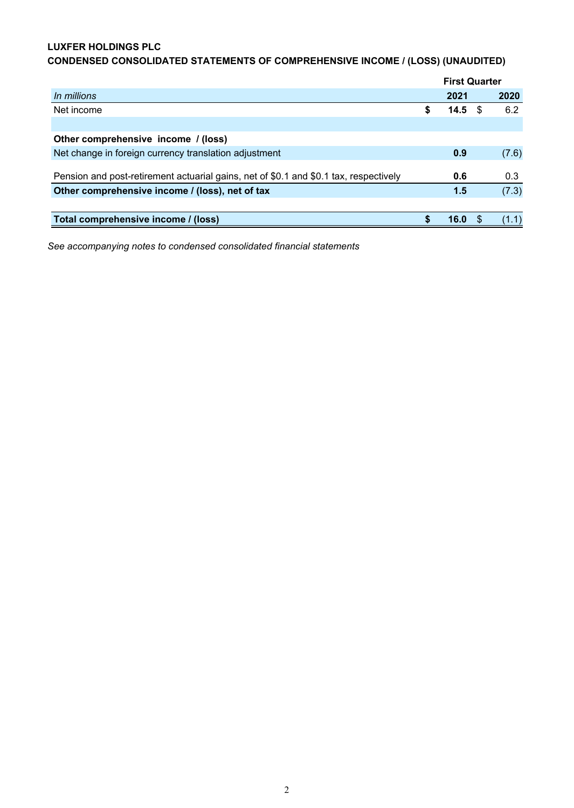# **LUXFER HOLDINGS PLC**

|                                                                                       |   | <b>First Quarter</b> |      |       |
|---------------------------------------------------------------------------------------|---|----------------------|------|-------|
| In millions                                                                           |   | 2021                 |      | 2020  |
| Net income                                                                            | S | 14.5                 | - \$ | 6.2   |
|                                                                                       |   |                      |      |       |
| Other comprehensive income / (loss)                                                   |   |                      |      |       |
| Net change in foreign currency translation adjustment                                 |   | 0.9                  |      | (7.6) |
|                                                                                       |   |                      |      |       |
| Pension and post-retirement actuarial gains, net of \$0.1 and \$0.1 tax, respectively |   | 0.6                  |      | 0.3   |
| Other comprehensive income / (loss), net of tax                                       |   | 1.5                  |      | (7.3) |
|                                                                                       |   |                      |      |       |
| Total comprehensive income / (loss)                                                   |   | 16.0                 |      | 1.1)  |

# **CONDENSED CONSOLIDATED STATEMENTS OF COMPREHENSIVE INCOME / (LOSS) (UNAUDITED)**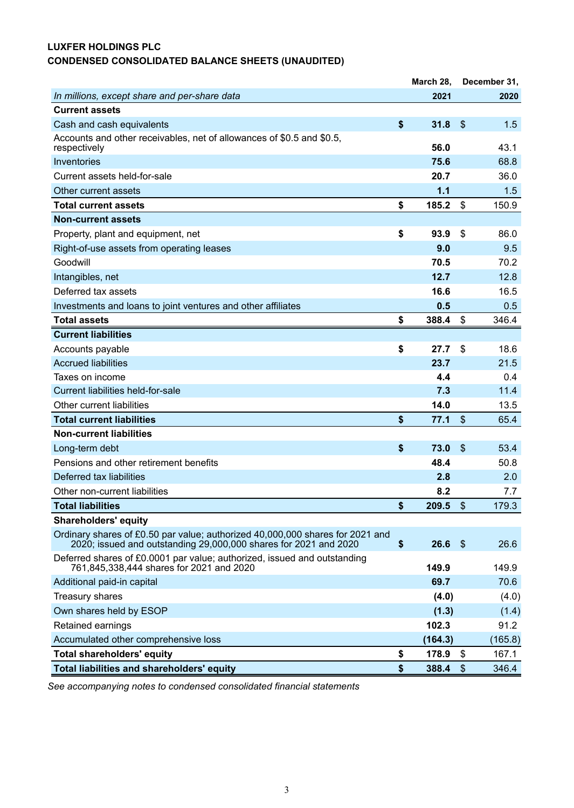# **LUXFER HOLDINGS PLC CONDENSED CONSOLIDATED BALANCE SHEETS (UNAUDITED)**

|                                                                                                                                                   | March 28,   |                           | December 31, |
|---------------------------------------------------------------------------------------------------------------------------------------------------|-------------|---------------------------|--------------|
| In millions, except share and per-share data                                                                                                      | 2021        |                           | 2020         |
| <b>Current assets</b>                                                                                                                             |             |                           |              |
| Cash and cash equivalents                                                                                                                         | \$<br>31.8  | $\boldsymbol{\mathsf{S}}$ | 1.5          |
| Accounts and other receivables, net of allowances of \$0.5 and \$0.5,<br>respectively                                                             | 56.0        |                           | 43.1         |
| Inventories                                                                                                                                       | 75.6        |                           | 68.8         |
| Current assets held-for-sale                                                                                                                      | 20.7        |                           | 36.0         |
| Other current assets                                                                                                                              | 1.1         |                           | 1.5          |
| <b>Total current assets</b>                                                                                                                       | \$<br>185.2 | \$                        | 150.9        |
| <b>Non-current assets</b>                                                                                                                         |             |                           |              |
| Property, plant and equipment, net                                                                                                                | \$<br>93.9  | \$                        | 86.0         |
| Right-of-use assets from operating leases                                                                                                         | 9.0         |                           | 9.5          |
| Goodwill                                                                                                                                          | 70.5        |                           | 70.2         |
| Intangibles, net                                                                                                                                  | 12.7        |                           | 12.8         |
| Deferred tax assets                                                                                                                               | 16.6        |                           | 16.5         |
| Investments and loans to joint ventures and other affiliates                                                                                      | 0.5         |                           | 0.5          |
| <b>Total assets</b>                                                                                                                               | \$<br>388.4 | \$                        | 346.4        |
| <b>Current liabilities</b>                                                                                                                        |             |                           |              |
| Accounts payable                                                                                                                                  | \$<br>27.7  | \$                        | 18.6         |
| <b>Accrued liabilities</b>                                                                                                                        | 23.7        |                           | 21.5         |
| Taxes on income                                                                                                                                   | 4.4         |                           | 0.4          |
| Current liabilities held-for-sale                                                                                                                 | 7.3         |                           | 11.4         |
| Other current liabilities                                                                                                                         | 14.0        |                           | 13.5         |
| <b>Total current liabilities</b>                                                                                                                  | \$<br>77.1  | $\frac{1}{2}$             | 65.4         |
| <b>Non-current liabilities</b>                                                                                                                    |             |                           |              |
| Long-term debt                                                                                                                                    | \$<br>73.0  | \$                        | 53.4         |
| Pensions and other retirement benefits                                                                                                            | 48.4        |                           | 50.8         |
| Deferred tax liabilities                                                                                                                          | 2.8         |                           | 2.0          |
| Other non-current liabilities                                                                                                                     | 8.2         |                           | 7.7          |
| <b>Total liabilities</b>                                                                                                                          | \$<br>209.5 | $\frac{1}{2}$             | 179.3        |
| <b>Shareholders' equity</b>                                                                                                                       |             |                           |              |
| Ordinary shares of £0.50 par value; authorized 40,000,000 shares for 2021 and<br>2020; issued and outstanding 29,000,000 shares for 2021 and 2020 | \$<br>26.6  | $\sqrt{3}$                | 26.6         |
| Deferred shares of £0.0001 par value; authorized, issued and outstanding<br>761,845,338,444 shares for 2021 and 2020                              | 149.9       |                           | 149.9        |
| Additional paid-in capital                                                                                                                        | 69.7        |                           | 70.6         |
| Treasury shares                                                                                                                                   | (4.0)       |                           | (4.0)        |
| Own shares held by ESOP                                                                                                                           | (1.3)       |                           | (1.4)        |
| Retained earnings                                                                                                                                 | 102.3       |                           | 91.2         |
| Accumulated other comprehensive loss                                                                                                              | (164.3)     |                           | (165.8)      |
| <b>Total shareholders' equity</b>                                                                                                                 | \$<br>178.9 | \$                        | 167.1        |
| Total liabilities and shareholders' equity                                                                                                        | \$<br>388.4 | $\frac{1}{2}$             | 346.4        |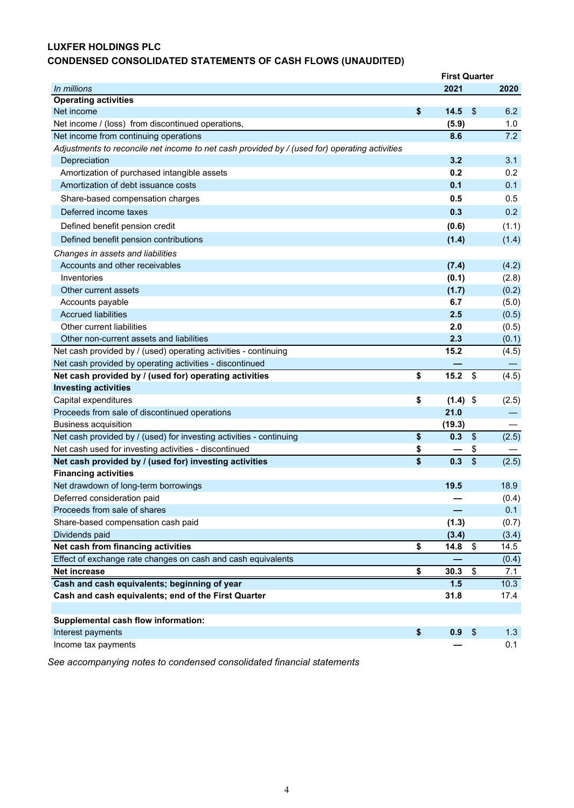# **LUXFER HOLDINGS PLC CONDENSED CONSOLIDATED STATEMENTS OF CASH FLOWS (UNAUDITED)**

|                                                                                               |                                      | <b>First Quarter</b> |                           |       |
|-----------------------------------------------------------------------------------------------|--------------------------------------|----------------------|---------------------------|-------|
| In millions                                                                                   |                                      | 2021                 |                           | 2020  |
| <b>Operating activities</b>                                                                   |                                      |                      |                           |       |
| Net income                                                                                    | \$                                   | 14.5                 | $\boldsymbol{\mathsf{s}}$ | 6.2   |
| Net income / (loss) from discontinued operations,                                             |                                      | (5.9)                |                           | 1.0   |
| Net income from continuing operations                                                         |                                      | 8.6                  |                           | 7.2   |
| Adjustments to reconcile net income to net cash provided by / (used for) operating activities |                                      |                      |                           |       |
| Depreciation                                                                                  |                                      | 3.2                  |                           | 3.1   |
| Amortization of purchased intangible assets                                                   |                                      | 0.2                  |                           | 0.2   |
| Amortization of debt issuance costs                                                           |                                      | 0.1                  |                           | 0.1   |
| Share-based compensation charges                                                              |                                      | 0.5                  |                           | 0.5   |
| Deferred income taxes                                                                         |                                      | 0.3                  |                           | 0.2   |
| Defined benefit pension credit                                                                |                                      | (0.6)                |                           | (1.1) |
| Defined benefit pension contributions                                                         |                                      | (1.4)                |                           | (1.4) |
| Changes in assets and liabilities                                                             |                                      |                      |                           |       |
| Accounts and other receivables                                                                |                                      | (7.4)                |                           | (4.2) |
| Inventories                                                                                   |                                      | (0.1)                |                           | (2.8) |
| Other current assets                                                                          |                                      | (1.7)                |                           | (0.2) |
| Accounts payable                                                                              |                                      | 6.7                  |                           | (5.0) |
| <b>Accrued liabilities</b>                                                                    |                                      | 2.5                  |                           | (0.5) |
| Other current liabilities                                                                     |                                      | 2.0                  |                           | (0.5) |
| Other non-current assets and liabilities                                                      |                                      | 2.3                  |                           | (0.1) |
| Net cash provided by / (used) operating activities - continuing                               |                                      | 15.2                 |                           | (4.5) |
| Net cash provided by operating activities - discontinued                                      |                                      |                      |                           |       |
| Net cash provided by / (used for) operating activities                                        | \$                                   | 15.2                 | $\boldsymbol{\mathsf{S}}$ | (4.5) |
| <b>Investing activities</b>                                                                   |                                      |                      |                           |       |
| Capital expenditures                                                                          | \$                                   | $(1.4)$ \$           |                           | (2.5) |
| Proceeds from sale of discontinued operations                                                 |                                      | 21.0                 |                           |       |
| <b>Business acquisition</b>                                                                   |                                      | (19.3)               |                           |       |
| Net cash provided by / (used) for investing activities - continuing                           | \$                                   | 0.3                  | $\boldsymbol{\mathsf{S}}$ | (2.5) |
| Net cash used for investing activities - discontinued                                         | \$                                   |                      | \$                        |       |
| Net cash provided by / (used for) investing activities                                        | $\overline{\boldsymbol{\mathsf{s}}}$ | 0.3                  | $\overline{\$}$           | (2.5) |
| <b>Financing activities</b>                                                                   |                                      |                      |                           |       |
| Net drawdown of long-term borrowings                                                          |                                      | 19.5                 |                           | 18.9  |
| Deferred consideration paid                                                                   |                                      |                      |                           | (0.4) |
| Proceeds from sale of shares                                                                  |                                      |                      |                           | 0.1   |
| Share-based compensation cash paid                                                            |                                      | (1.3)                |                           | (0.7) |
| Dividends paid                                                                                |                                      | (3.4)                |                           | (3.4) |
| Net cash from financing activities                                                            | \$                                   | 14.8                 | \$                        | 14.5  |
| Effect of exchange rate changes on cash and cash equivalents                                  |                                      |                      |                           | (0.4) |
| <b>Net increase</b>                                                                           | \$                                   | 30.3                 | $\boldsymbol{\mathsf{S}}$ | 7.1   |
| Cash and cash equivalents; beginning of year                                                  |                                      | 1.5                  |                           | 10.3  |
| Cash and cash equivalents; end of the First Quarter                                           |                                      | 31.8                 |                           | 17.4  |
| Supplemental cash flow information:                                                           |                                      |                      |                           |       |
| Interest payments                                                                             | \$                                   | 0.9                  | $\frac{1}{2}$             | 1.3   |
| Income tax payments                                                                           |                                      |                      |                           | 0.1   |
|                                                                                               |                                      |                      |                           |       |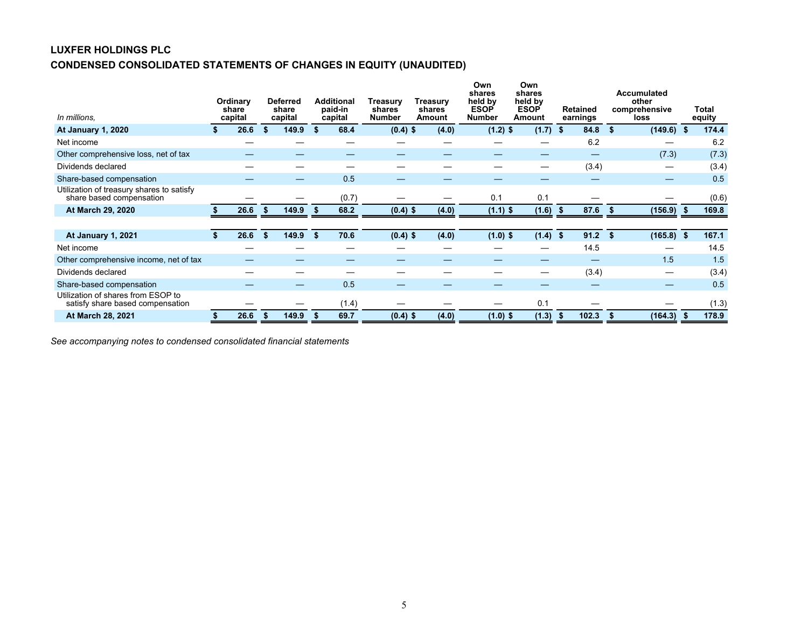# **LUXFER HOLDINGS PLC CONDENSED CONSOLIDATED STATEMENTS OF CHANGES IN EQUITY (UNAUDITED)**

| In millions.                                                           |  | Ordinary<br>share<br>capital |     | <b>Deferred</b><br>share<br>capital |    | <b>Additional</b><br>paid-in<br>capital | <b>Treasury</b><br>shares<br><b>Number</b> | <b>Treasury</b><br>shares<br>Amount | Own<br>shares<br>held by<br><b>ESOP</b><br><b>Number</b> | Own<br>shares<br>held by<br><b>ESOP</b><br>Amount |      | <b>Retained</b><br>earnings | <b>Accumulated</b><br>other<br>comprehensive<br>loss | <b>Total</b><br>equity |
|------------------------------------------------------------------------|--|------------------------------|-----|-------------------------------------|----|-----------------------------------------|--------------------------------------------|-------------------------------------|----------------------------------------------------------|---------------------------------------------------|------|-----------------------------|------------------------------------------------------|------------------------|
| <b>At January 1, 2020</b>                                              |  | 26.6                         | \$. | 149.9                               |    | 68.4                                    | $(0.4)$ \$                                 | (4.0)                               | $(1.2)$ \$                                               | (1.7)                                             | -\$  | 84.8                        | (149.6)<br>-\$                                       | 174.4                  |
| Net income                                                             |  |                              |     |                                     |    |                                         |                                            |                                     |                                                          |                                                   |      | 6.2                         |                                                      | 6.2                    |
| Other comprehensive loss, net of tax                                   |  |                              |     |                                     |    |                                         |                                            |                                     |                                                          |                                                   |      |                             | (7.3)                                                | (7.3)                  |
| Dividends declared                                                     |  |                              |     |                                     |    |                                         |                                            |                                     |                                                          |                                                   |      | (3.4)                       |                                                      | (3.4)                  |
| Share-based compensation                                               |  |                              |     | –                                   |    | 0.5                                     |                                            |                                     |                                                          |                                                   |      |                             |                                                      | 0.5                    |
| Utilization of treasury shares to satisfy<br>share based compensation  |  |                              |     |                                     |    | (0.7)                                   |                                            |                                     | 0.1                                                      | 0.1                                               |      |                             |                                                      | (0.6)                  |
| At March 29, 2020                                                      |  | 26.6                         | S   | 149.9                               | S. | 68.2                                    | $(0.4)$ \$                                 | (4.0)                               | $(1.1)$ \$                                               | (1.6)                                             | - 55 | 87.6                        | (156.9)<br>- 56                                      | 169.8                  |
|                                                                        |  |                              |     |                                     |    |                                         |                                            |                                     |                                                          |                                                   |      |                             |                                                      |                        |
| At January 1, 2021                                                     |  | 26.6                         | \$  | 149.9                               | \$ | 70.6                                    | $(0.4)$ \$                                 | (4.0)                               | $(1.0)$ \$                                               | $(1.4)$ \$                                        |      | $91.2$ \$                   | $(165.8)$ \$                                         | 167.1                  |
| Net income                                                             |  |                              |     |                                     |    |                                         |                                            |                                     |                                                          |                                                   |      | 14.5                        |                                                      | 14.5                   |
| Other comprehensive income, net of tax                                 |  |                              |     |                                     |    |                                         |                                            |                                     |                                                          |                                                   |      |                             | 1.5                                                  | 1.5                    |
| Dividends declared                                                     |  |                              |     |                                     |    |                                         |                                            |                                     |                                                          |                                                   |      | (3.4)                       |                                                      | (3.4)                  |
| Share-based compensation                                               |  |                              |     |                                     |    | 0.5                                     |                                            |                                     |                                                          |                                                   |      |                             |                                                      | 0.5                    |
| Utilization of shares from ESOP to<br>satisfy share based compensation |  |                              |     |                                     |    | (1.4)                                   |                                            |                                     |                                                          | 0.1                                               |      |                             |                                                      | (1.3)                  |
| At March 28, 2021                                                      |  | 26.6                         |     | 149.9                               |    | 69.7                                    | $(0.4)$ \$                                 | (4.0)                               | $(1.0)$ \$                                               | (1.3)                                             |      | 102.3                       | (164.3)                                              | 178.9                  |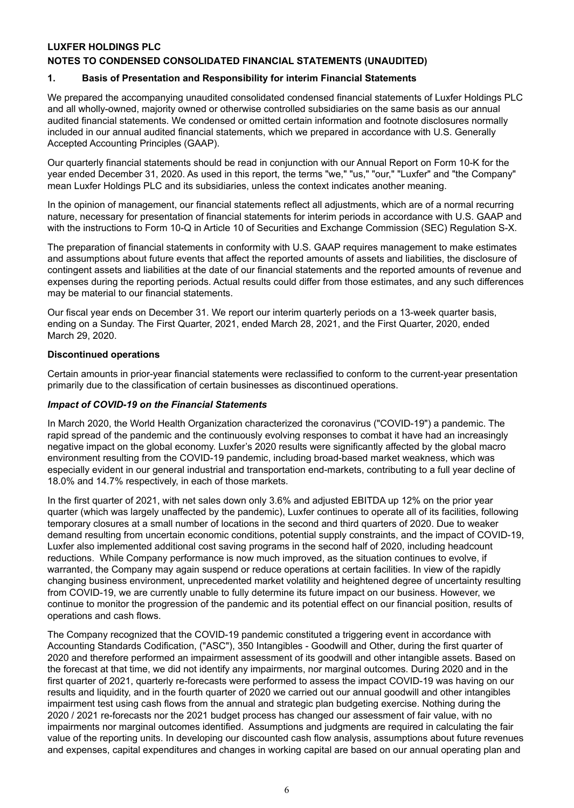# **LUXFER HOLDINGS PLC**

# **NOTES TO CONDENSED CONSOLIDATED FINANCIAL STATEMENTS (UNAUDITED)**

# **1. Basis of Presentation and Responsibility for interim Financial Statements**

We prepared the accompanying unaudited consolidated condensed financial statements of Luxfer Holdings PLC and all wholly-owned, majority owned or otherwise controlled subsidiaries on the same basis as our annual audited financial statements. We condensed or omitted certain information and footnote disclosures normally included in our annual audited financial statements, which we prepared in accordance with U.S. Generally Accepted Accounting Principles (GAAP).

Our quarterly financial statements should be read in conjunction with our Annual Report on Form 10-K for the year ended December 31, 2020. As used in this report, the terms "we," "us," "our," "Luxfer" and "the Company" mean Luxfer Holdings PLC and its subsidiaries, unless the context indicates another meaning.

In the opinion of management, our financial statements reflect all adjustments, which are of a normal recurring nature, necessary for presentation of financial statements for interim periods in accordance with U.S. GAAP and with the instructions to Form 10-Q in Article 10 of Securities and Exchange Commission (SEC) Regulation S-X.

The preparation of financial statements in conformity with U.S. GAAP requires management to make estimates and assumptions about future events that affect the reported amounts of assets and liabilities, the disclosure of contingent assets and liabilities at the date of our financial statements and the reported amounts of revenue and expenses during the reporting periods. Actual results could differ from those estimates, and any such differences may be material to our financial statements.

Our fiscal year ends on December 31. We report our interim quarterly periods on a 13-week quarter basis, ending on a Sunday. The First Quarter, 2021, ended March 28, 2021, and the First Quarter, 2020, ended March 29, 2020.

#### **Discontinued operations**

Certain amounts in prior-year financial statements were reclassified to conform to the current-year presentation primarily due to the classification of certain businesses as discontinued operations.

#### *Impact of COVID-19 on the Financial Statements*

In March 2020, the World Health Organization characterized the coronavirus ("COVID-19") a pandemic. The rapid spread of the pandemic and the continuously evolving responses to combat it have had an increasingly negative impact on the global economy. Luxfer's 2020 results were significantly affected by the global macro environment resulting from the COVID-19 pandemic, including broad-based market weakness, which was especially evident in our general industrial and transportation end-markets, contributing to a full year decline of 18.0% and 14.7% respectively, in each of those markets.

In the first quarter of 2021, with net sales down only 3.6% and adjusted EBITDA up 12% on the prior year quarter (which was largely unaffected by the pandemic), Luxfer continues to operate all of its facilities, following temporary closures at a small number of locations in the second and third quarters of 2020. Due to weaker demand resulting from uncertain economic conditions, potential supply constraints, and the impact of COVID-19, Luxfer also implemented additional cost saving programs in the second half of 2020, including headcount reductions. While Company performance is now much improved, as the situation continues to evolve, if warranted, the Company may again suspend or reduce operations at certain facilities. In view of the rapidly changing business environment, unprecedented market volatility and heightened degree of uncertainty resulting from COVID-19, we are currently unable to fully determine its future impact on our business. However, we continue to monitor the progression of the pandemic and its potential effect on our financial position, results of operations and cash flows.

The Company recognized that the COVID-19 pandemic constituted a triggering event in accordance with Accounting Standards Codification, ("ASC"), 350 Intangibles - Goodwill and Other, during the first quarter of 2020 and therefore performed an impairment assessment of its goodwill and other intangible assets. Based on the forecast at that time, we did not identify any impairments, nor marginal outcomes. During 2020 and in the first quarter of 2021, quarterly re-forecasts were performed to assess the impact COVID-19 was having on our results and liquidity, and in the fourth quarter of 2020 we carried out our annual goodwill and other intangibles impairment test using cash flows from the annual and strategic plan budgeting exercise. Nothing during the 2020 / 2021 re-forecasts nor the 2021 budget process has changed our assessment of fair value, with no impairments nor marginal outcomes identified. Assumptions and judgments are required in calculating the fair value of the reporting units. In developing our discounted cash flow analysis, assumptions about future revenues and expenses, capital expenditures and changes in working capital are based on our annual operating plan and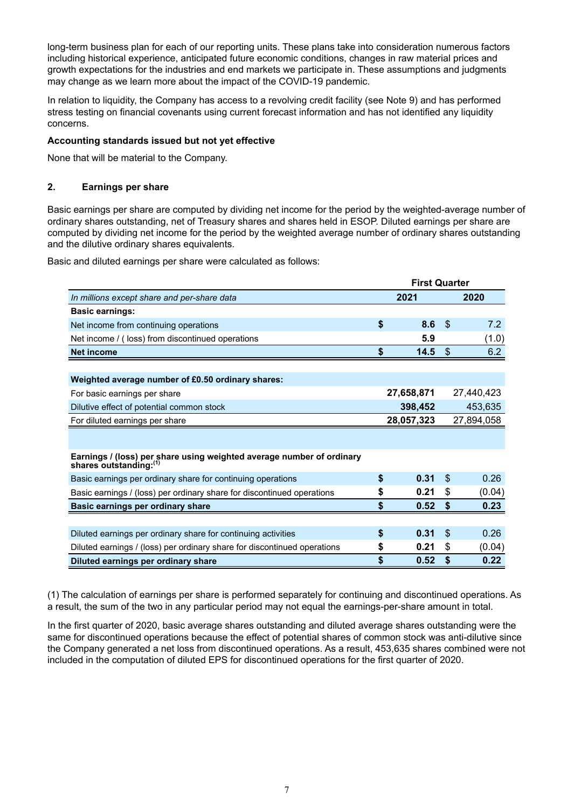long-term business plan for each of our reporting units. These plans take into consideration numerous factors including historical experience, anticipated future economic conditions, changes in raw material prices and growth expectations for the industries and end markets we participate in. These assumptions and judgments may change as we learn more about the impact of the COVID-19 pandemic.

In relation to liquidity, the Company has access to a revolving credit facility (see Note 9) and has performed stress testing on financial covenants using current forecast information and has not identified any liquidity concerns.

# **Accounting standards issued but not yet effective**

None that will be material to the Company.

# **2. Earnings per share**

Basic earnings per share are computed by dividing net income for the period by the weighted-average number of ordinary shares outstanding, net of Treasury shares and shares held in ESOP. Diluted earnings per share are computed by dividing net income for the period by the weighted average number of ordinary shares outstanding and the dilutive ordinary shares equivalents.

Basic and diluted earnings per share were calculated as follows:

|                                                                                                 |      | <b>First Quarter</b> |            |            |  |
|-------------------------------------------------------------------------------------------------|------|----------------------|------------|------------|--|
| In millions except share and per-share data                                                     | 2021 |                      |            | 2020       |  |
| <b>Basic earnings:</b>                                                                          |      |                      |            |            |  |
| Net income from continuing operations                                                           | \$   | 8.6                  | \$.        | 7.2        |  |
| Net income / (loss) from discontinued operations                                                |      | 5.9                  |            | (1.0)      |  |
| <b>Net income</b>                                                                               | S    | 14.5                 | S          | 6.2        |  |
|                                                                                                 |      |                      |            |            |  |
| Weighted average number of £0.50 ordinary shares:                                               |      |                      |            |            |  |
| For basic earnings per share                                                                    |      | 27,658,871           |            | 27,440,423 |  |
| Dilutive effect of potential common stock                                                       |      | 398,452              |            | 453,635    |  |
| For diluted earnings per share                                                                  |      | 28,057,323           | 27,894,058 |            |  |
|                                                                                                 |      |                      |            |            |  |
| Earnings / (loss) per share using weighted average number of ordinary<br>shares outstanding:(1) |      |                      |            |            |  |
| Basic earnings per ordinary share for continuing operations                                     | \$   | 0.31                 | \$         | 0.26       |  |
| Basic earnings / (loss) per ordinary share for discontinued operations                          | \$   | 0.21                 | \$         | (0.04)     |  |
| Basic earnings per ordinary share                                                               | \$   | 0.52                 | \$         | 0.23       |  |
|                                                                                                 |      |                      |            |            |  |
| Diluted earnings per ordinary share for continuing activities                                   | \$   | 0.31                 | \$.        | 0.26       |  |
| Diluted earnings / (loss) per ordinary share for discontinued operations                        | S    | 0.21                 | \$         | (0.04)     |  |
| Diluted earnings per ordinary share                                                             | \$   | 0.52                 | \$         | 0.22       |  |

(1) The calculation of earnings per share is performed separately for continuing and discontinued operations. As a result, the sum of the two in any particular period may not equal the earnings-per-share amount in total.

In the first quarter of 2020, basic average shares outstanding and diluted average shares outstanding were the same for discontinued operations because the effect of potential shares of common stock was anti-dilutive since the Company generated a net loss from discontinued operations. As a result, 453,635 shares combined were not included in the computation of diluted EPS for discontinued operations for the first quarter of 2020.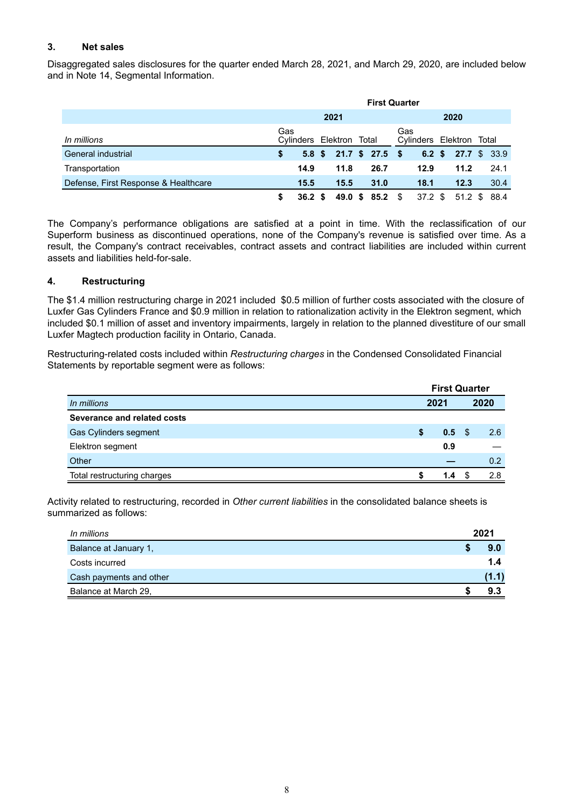# **3. Net sales**

Disaggregated sales disclosures for the quarter ended March 28, 2021, and March 29, 2020, are included below and in Note 14, Segmental Information.

|                                      | <b>First Quarter</b> |        |      |                          |      |                          |     |                          |  |              |  |      |  |
|--------------------------------------|----------------------|--------|------|--------------------------|------|--------------------------|-----|--------------------------|--|--------------|--|------|--|
|                                      |                      |        | 2021 |                          | 2020 |                          |     |                          |  |              |  |      |  |
| In millions                          | Gas                  |        |      | Cylinders Elektron Total |      |                          | Gas | Cylinders Elektron Total |  |              |  |      |  |
| General industrial                   | \$                   |        |      |                          |      | $5.8$ \$ 21.7 \$ 27.5 \$ |     | $6.2 \text{ } $$         |  | 27.7 \$ 33.9 |  |      |  |
| Transportation                       |                      | 14.9   |      | 11.8                     |      | 26.7                     |     | 12.9                     |  | 11.2         |  | 24.1 |  |
| Defense, First Response & Healthcare |                      | 15.5   |      | 15.5                     |      | 31.0                     |     | 18.1                     |  | 12.3         |  | 30.4 |  |
|                                      | S                    | 36.2 S |      |                          |      | 49.0 \$ 85.2 \$          |     | 37.2 \$                  |  | 51.2 \$ 88.4 |  |      |  |

The Company's performance obligations are satisfied at a point in time. With the reclassification of our Superform business as discontinued operations, none of the Company's revenue is satisfied over time. As a result, the Company's contract receivables, contract assets and contract liabilities are included within current assets and liabilities held-for-sale.

# **4. Restructuring**

The \$1.4 million restructuring charge in 2021 included \$0.5 million of further costs associated with the closure of Luxfer Gas Cylinders France and \$0.9 million in relation to rationalization activity in the Elektron segment, which included \$0.1 million of asset and inventory impairments, largely in relation to the planned divestiture of our small Luxfer Magtech production facility in Ontario, Canada.

Restructuring-related costs included within *Restructuring charges* in the Condensed Consolidated Financial Statements by reportable segment were as follows:

|                             | <b>First Quarter</b> |       |  |      |  |  |
|-----------------------------|----------------------|-------|--|------|--|--|
| In millions                 |                      | 2021  |  | 2020 |  |  |
| Severance and related costs |                      |       |  |      |  |  |
| Gas Cylinders segment       | S                    | 0.5 S |  | 2.6  |  |  |
| Elektron segment            |                      | 0.9   |  |      |  |  |
| Other                       |                      |       |  | 0.2  |  |  |
| Total restructuring charges |                      | 1.4   |  | 2.8  |  |  |

Activity related to restructuring, recorded in *Other current liabilities* in the consolidated balance sheets is summarized as follows:

| In millions             | 2021  |
|-------------------------|-------|
| Balance at January 1,   | 9.0   |
| Costs incurred          | 1.4   |
| Cash payments and other | (1.1) |
| Balance at March 29,    | 9.3   |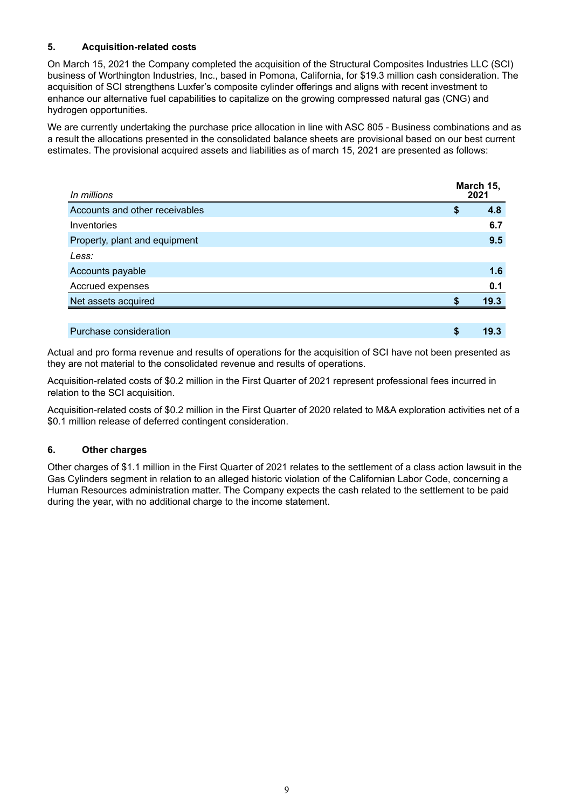# **5. Acquisition-related costs**

On March 15, 2021 the Company completed the acquisition of the Structural Composites Industries LLC (SCI) business of Worthington Industries, Inc., based in Pomona, California, for \$19.3 million cash consideration. The acquisition of SCI strengthens Luxfer's composite cylinder offerings and aligns with recent investment to enhance our alternative fuel capabilities to capitalize on the growing compressed natural gas (CNG) and hydrogen opportunities.

We are currently undertaking the purchase price allocation in line with ASC 805 - Business combinations and as a result the allocations presented in the consolidated balance sheets are provisional based on our best current estimates. The provisional acquired assets and liabilities as of march 15, 2021 are presented as follows:

| In millions                    |    | March 15,<br>2021 |
|--------------------------------|----|-------------------|
| Accounts and other receivables | \$ | 4.8               |
| Inventories                    |    | 6.7               |
| Property, plant and equipment  |    | 9.5               |
| Less:                          |    |                   |
| Accounts payable               |    | 1.6               |
| Accrued expenses               |    | 0.1               |
| Net assets acquired            | S  | 19.3              |
|                                |    |                   |
| Purchase consideration         | S  | 19.3              |

Actual and pro forma revenue and results of operations for the acquisition of SCI have not been presented as they are not material to the consolidated revenue and results of operations.

Acquisition-related costs of \$0.2 million in the First Quarter of 2021 represent professional fees incurred in relation to the SCI acquisition.

Acquisition-related costs of \$0.2 million in the First Quarter of 2020 related to M&A exploration activities net of a \$0.1 million release of deferred contingent consideration.

# **6. Other charges**

Other charges of \$1.1 million in the First Quarter of 2021 relates to the settlement of a class action lawsuit in the Gas Cylinders segment in relation to an alleged historic violation of the Californian Labor Code, concerning a Human Resources administration matter. The Company expects the cash related to the settlement to be paid during the year, with no additional charge to the income statement.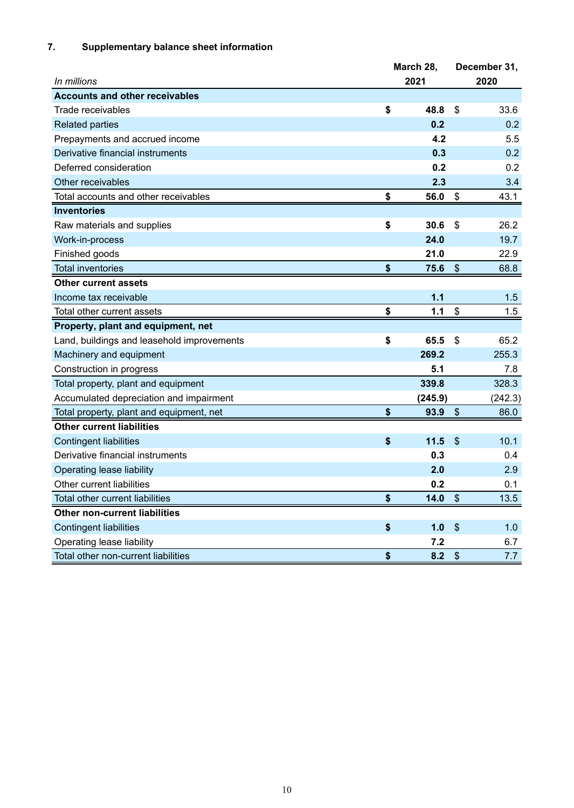# **7. Supplementary balance sheet information**

|                                            | March 28,  |                           | December 31, |
|--------------------------------------------|------------|---------------------------|--------------|
| In millions                                | 2021       |                           | 2020         |
| <b>Accounts and other receivables</b>      |            |                           |              |
| Trade receivables                          | \$<br>48.8 | \$                        | 33.6         |
| <b>Related parties</b>                     | 0.2        |                           | 0.2          |
| Prepayments and accrued income             | 4.2        |                           | $5.5\,$      |
| Derivative financial instruments           | 0.3        |                           | 0.2          |
| Deferred consideration                     | 0.2        |                           | 0.2          |
| Other receivables                          | 2.3        |                           | 3.4          |
| Total accounts and other receivables       | \$<br>56.0 | \$                        | 43.1         |
| <b>Inventories</b>                         |            |                           |              |
| Raw materials and supplies                 | \$<br>30.6 | \$                        | 26.2         |
| Work-in-process                            | 24.0       |                           | 19.7         |
| Finished goods                             | 21.0       |                           | 22.9         |
| <b>Total inventories</b>                   | \$<br>75.6 | $\mathfrak{S}$            | 68.8         |
| <b>Other current assets</b>                |            |                           |              |
| Income tax receivable                      | 1.1        |                           | 1.5          |
| Total other current assets                 | \$<br>1.1  | \$                        | 1.5          |
| Property, plant and equipment, net         |            |                           |              |
| Land, buildings and leasehold improvements | \$<br>65.5 | \$                        | 65.2         |
| Machinery and equipment                    | 269.2      |                           | 255.3        |
| Construction in progress                   | 5.1        |                           | 7.8          |
| Total property, plant and equipment        | 339.8      |                           | 328.3        |
| Accumulated depreciation and impairment    | (245.9)    |                           | (242.3)      |
| Total property, plant and equipment, net   | \$<br>93.9 | $\boldsymbol{\mathsf{S}}$ | 86.0         |
| <b>Other current liabilities</b>           |            |                           |              |
| <b>Contingent liabilities</b>              | \$<br>11.5 | $\mathfrak{S}$            | 10.1         |
| Derivative financial instruments           | 0.3        |                           | 0.4          |
| Operating lease liability                  | 2.0        |                           | 2.9          |
| Other current liabilities                  | 0.2        |                           | 0.1          |
| Total other current liabilities            | \$<br>14.0 | $\mathcal{S}$             | 13.5         |
| <b>Other non-current liabilities</b>       |            |                           |              |
| <b>Contingent liabilities</b>              | \$<br>1.0  | $\frac{1}{2}$             | 1.0          |
| Operating lease liability                  | 7.2        |                           | 6.7          |
| Total other non-current liabilities        | \$<br>8.2  | $\boldsymbol{\mathsf{S}}$ | 7.7          |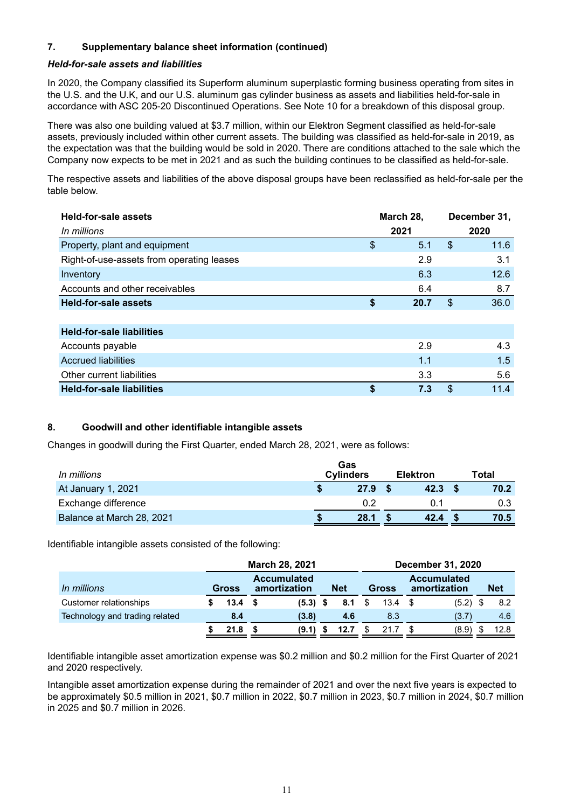# **7. Supplementary balance sheet information (continued)**

#### *Held-for-sale assets and liabilities*

In 2020, the Company classified its Superform aluminum superplastic forming business operating from sites in the U.S. and the U.K, and our U.S. aluminum gas cylinder business as assets and liabilities held-for-sale in accordance with ASC 205-20 Discontinued Operations. See Note 10 for a breakdown of this disposal group.

There was also one building valued at \$3.7 million, within our Elektron Segment classified as held-for-sale assets, previously included within other current assets. The building was classified as held-for-sale in 2019, as the expectation was that the building would be sold in 2020. There are conditions attached to the sale which the Company now expects to be met in 2021 and as such the building continues to be classified as held-for-sale.

The respective assets and liabilities of the above disposal groups have been reclassified as held-for-sale per the table below.

| <b>Held-for-sale assets</b>               |            | March 28, | December 31, |      |  |
|-------------------------------------------|------------|-----------|--------------|------|--|
| In millions                               |            | 2021      |              | 2020 |  |
| Property, plant and equipment             | \$         | 5.1       | \$           | 11.6 |  |
| Right-of-use-assets from operating leases |            | 2.9       |              | 3.1  |  |
| Inventory                                 |            | 6.3       |              | 12.6 |  |
| Accounts and other receivables            |            | 6.4       |              | 8.7  |  |
| <b>Held-for-sale assets</b>               | \$<br>20.7 |           | \$           | 36.0 |  |
|                                           |            |           |              |      |  |
| <b>Held-for-sale liabilities</b>          |            |           |              |      |  |
| Accounts payable                          |            | 2.9       |              | 4.3  |  |
| <b>Accrued liabilities</b>                |            | 1.1       |              | 1.5  |  |
| Other current liabilities                 |            | 3.3       |              | 5.6  |  |
| <b>Held-for-sale liabilities</b>          | \$         | 7.3       | \$           | 11.4 |  |

# **8. Goodwill and other identifiable intangible assets**

Changes in goodwill during the First Quarter, ended March 28, 2021, were as follows:

| In millions               | Gas<br><b>Cylinders</b> | <b>Elektron</b> | Total |
|---------------------------|-------------------------|-----------------|-------|
| At January 1, 2021        | 27.9                    | 42.3            | 70.2  |
| Exchange difference       | 0.2                     | ( ) 1           | 0.3   |
| Balance at March 28, 2021 | 28.1                    | 42.4            | 70.5  |

Identifiable intangible assets consisted of the following:

|                                | March 28, 2021 |              |  |            |                                                  |      |  |      | <b>December 31, 2020</b> |                                    |            |
|--------------------------------|----------------|--------------|--|------------|--------------------------------------------------|------|--|------|--------------------------|------------------------------------|------------|
| In millions                    |                | <b>Gross</b> |  |            | <b>Accumulated</b><br><b>Net</b><br>amortization |      |  |      | <b>Gross</b>             | <b>Accumulated</b><br>amortization | <b>Net</b> |
| Customer relationships         |                | 13.4         |  | $(5.3)$ \$ |                                                  | 8.1  |  | 13.4 | (5.2)                    | 8.2                                |            |
| Technology and trading related |                | 8.4          |  | (3.8)      |                                                  | 4.6  |  | 8.3  | (3.7)                    | 4.6                                |            |
|                                |                | 21.8         |  | (9.1)      |                                                  | 12.7 |  | 21.7 | (8.9)                    | 12.8                               |            |

Identifiable intangible asset amortization expense was \$0.2 million and \$0.2 million for the First Quarter of 2021 and 2020 respectively.

Intangible asset amortization expense during the remainder of 2021 and over the next five years is expected to be approximately \$0.5 million in 2021, \$0.7 million in 2022, \$0.7 million in 2023, \$0.7 million in 2024, \$0.7 million in 2025 and \$0.7 million in 2026.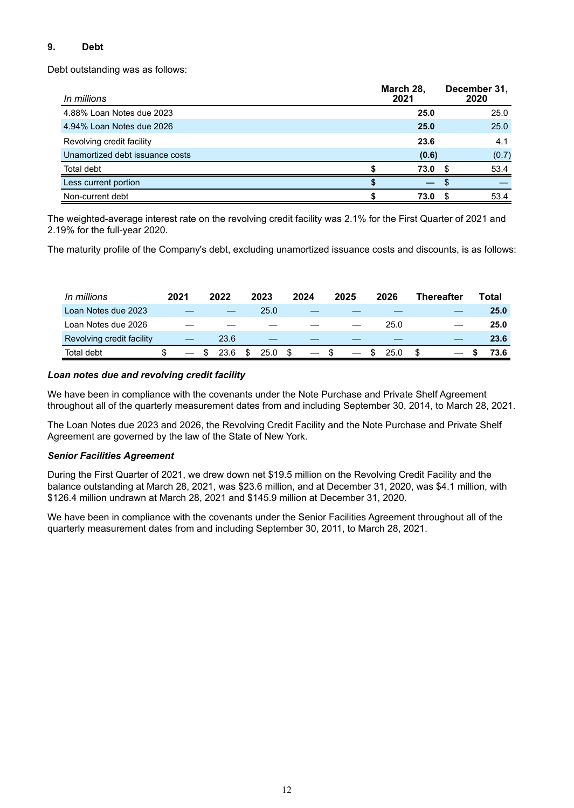# **9. Debt**

Debt outstanding was as follows:

| In millions                     | March 28,<br>2021 | December 31,<br>2020 |
|---------------------------------|-------------------|----------------------|
| 4.88% Loan Notes due 2023       | 25.0              | 25.0                 |
| 4.94% Loan Notes due 2026       | 25.0              | 25.0                 |
| Revolving credit facility       | 23.6              | 4.1                  |
| Unamortized debt issuance costs | (0.6)             | (0.7)                |
| Total debt                      | 73.0              | 53.4                 |
| Less current portion            |                   |                      |
| Non-current debt                | 73.0              | 53.4                 |

The weighted-average interest rate on the revolving credit facility was 2.1% for the First Quarter of 2021 and 2.19% for the full-year 2020.

The maturity profile of the Company's debt, excluding unamortized issuance costs and discounts, is as follows:

| In millions               | 2021 | 2022 | 2023 | 2024 |     | 2025                          | 2026 | <b>Thereafter</b> |  | Total |
|---------------------------|------|------|------|------|-----|-------------------------------|------|-------------------|--|-------|
| Loan Notes due 2023       |      |      | 25.0 |      |     |                               |      |                   |  | 25.0  |
| Loan Notes due 2026       |      |      |      |      |     |                               | 25.0 |                   |  | 25.0  |
| Revolving credit facility |      | 23.6 |      |      |     |                               |      |                   |  | 23.6  |
| Total debt                |      | 23.6 | 25.0 |      | \$. | $\overbrace{\phantom{aaaaa}}$ | 25.0 |                   |  | 73.6  |

# *Loan notes due and revolving credit facility*

We have been in compliance with the covenants under the Note Purchase and Private Shelf Agreement throughout all of the quarterly measurement dates from and including September 30, 2014, to March 28, 2021.

The Loan Notes due 2023 and 2026, the Revolving Credit Facility and the Note Purchase and Private Shelf Agreement are governed by the law of the State of New York.

# *Senior Facilities Agreement*

During the First Quarter of 2021, we drew down net \$19.5 million on the Revolving Credit Facility and the balance outstanding at March 28, 2021, was \$23.6 million, and at December 31, 2020, was \$4.1 million, with \$126.4 million undrawn at March 28, 2021 and \$145.9 million at December 31, 2020.

We have been in compliance with the covenants under the Senior Facilities Agreement throughout all of the quarterly measurement dates from and including September 30, 2011, to March 28, 2021.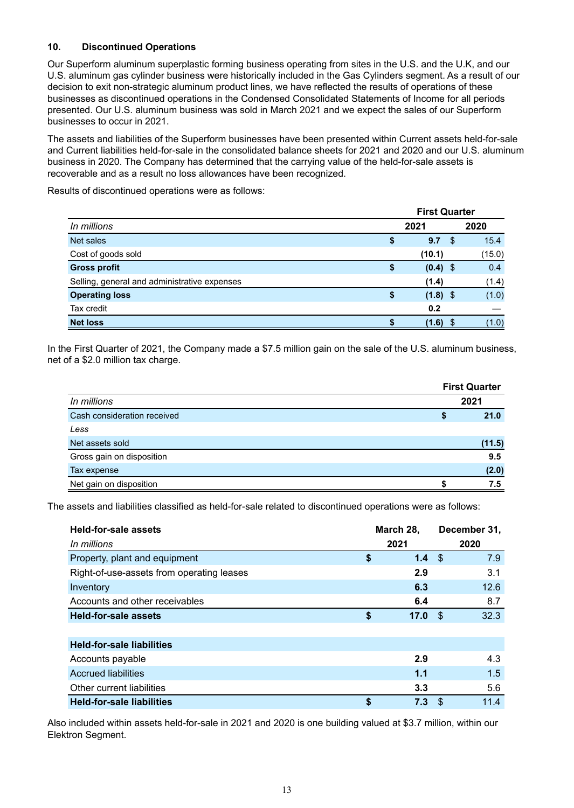# **10. Discontinued Operations**

Our Superform aluminum superplastic forming business operating from sites in the U.S. and the U.K, and our U.S. aluminum gas cylinder business were historically included in the Gas Cylinders segment. As a result of our decision to exit non-strategic aluminum product lines, we have reflected the results of operations of these businesses as discontinued operations in the Condensed Consolidated Statements of Income for all periods presented. Our U.S. aluminum business was sold in March 2021 and we expect the sales of our Superform businesses to occur in 2021.

The assets and liabilities of the Superform businesses have been presented within Current assets held-for-sale and Current liabilities held-for-sale in the consolidated balance sheets for 2021 and 2020 and our U.S. aluminum business in 2020. The Company has determined that the carrying value of the held-for-sale assets is recoverable and as a result no loss allowances have been recognized.

Results of discontinued operations were as follows:

|                                              |    |            | <b>First Quarter</b> |        |  |
|----------------------------------------------|----|------------|----------------------|--------|--|
| In millions                                  |    | 2021       |                      | 2020   |  |
| Net sales                                    | \$ | 9.7        | -\$                  | 15.4   |  |
| Cost of goods sold                           |    | (10.1)     |                      | (15.0) |  |
| <b>Gross profit</b>                          | \$ | $(0.4)$ \$ |                      | 0.4    |  |
| Selling, general and administrative expenses |    | (1.4)      |                      | (1.4)  |  |
| <b>Operating loss</b>                        |    | $(1.8)$ \$ |                      | (1.0)  |  |
| Tax credit                                   |    | 0.2        |                      |        |  |
| <b>Net loss</b>                              |    | (1.6)      |                      | (1.0)  |  |

In the First Quarter of 2021, the Company made a \$7.5 million gain on the sale of the U.S. aluminum business, net of a \$2.0 million tax charge.

|                             | <b>First Quarter</b> |
|-----------------------------|----------------------|
| In millions                 | 2021                 |
| Cash consideration received | 21.0                 |
| Less                        |                      |
| Net assets sold             | (11.5)               |
| Gross gain on disposition   | 9.5                  |
| Tax expense                 | (2.0)                |
| Net gain on disposition     | 7.5                  |

The assets and liabilities classified as held-for-sale related to discontinued operations were as follows:

| <b>Held-for-sale assets</b><br>In millions | March 28,<br>2021 | December 31,<br>2020 |      |  |  |  |
|--------------------------------------------|-------------------|----------------------|------|--|--|--|
| Property, plant and equipment              | \$<br>1.4         | \$                   | 7.9  |  |  |  |
| Right-of-use-assets from operating leases  | 2.9               |                      | 3.1  |  |  |  |
|                                            |                   |                      |      |  |  |  |
| Inventory                                  | 6.3               |                      | 12.6 |  |  |  |
| Accounts and other receivables             | 6.4               |                      | 8.7  |  |  |  |
| <b>Held-for-sale assets</b>                | \$<br>17.0        | - \$                 | 32.3 |  |  |  |
|                                            |                   |                      |      |  |  |  |
| <b>Held-for-sale liabilities</b>           |                   |                      |      |  |  |  |
| Accounts payable                           | 2.9               |                      | 4.3  |  |  |  |
| <b>Accrued liabilities</b>                 | 1.1               |                      | 1.5  |  |  |  |
| Other current liabilities                  | 3.3               |                      | 5.6  |  |  |  |
| <b>Held-for-sale liabilities</b>           | \$<br>7.3         | \$.                  | 11.4 |  |  |  |

Also included within assets held-for-sale in 2021 and 2020 is one building valued at \$3.7 million, within our Elektron Segment.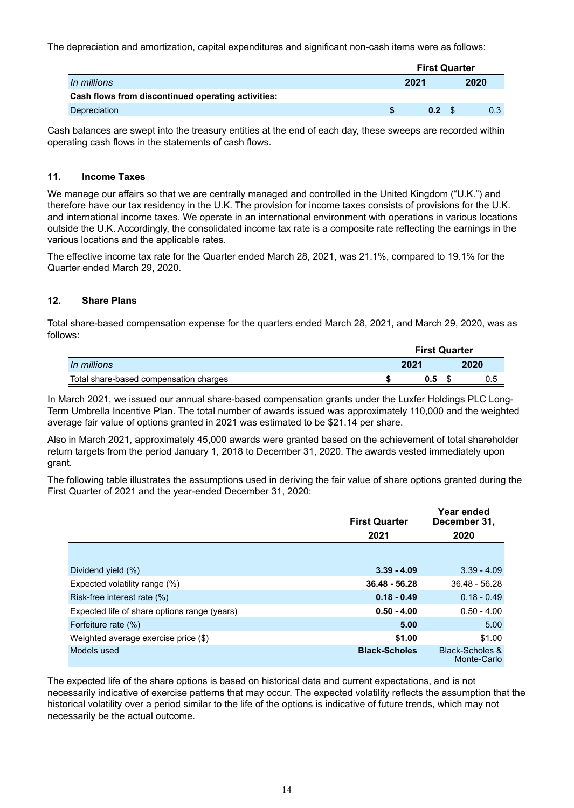The depreciation and amortization, capital expenditures and significant non-cash items were as follows:

|                                                    | <b>First Quarter</b> |  |      |  |  |
|----------------------------------------------------|----------------------|--|------|--|--|
| In millions                                        | 2021                 |  | 2020 |  |  |
| Cash flows from discontinued operating activities: |                      |  |      |  |  |
| Depreciation                                       | 0.2                  |  | 0.3  |  |  |

Cash balances are swept into the treasury entities at the end of each day, these sweeps are recorded within operating cash flows in the statements of cash flows.

# **11. Income Taxes**

We manage our affairs so that we are centrally managed and controlled in the United Kingdom ("U.K.") and therefore have our tax residency in the U.K. The provision for income taxes consists of provisions for the U.K. and international income taxes. We operate in an international environment with operations in various locations outside the U.K. Accordingly, the consolidated income tax rate is a composite rate reflecting the earnings in the various locations and the applicable rates.

The effective income tax rate for the Quarter ended March 28, 2021, was 21.1%, compared to 19.1% for the Quarter ended March 29, 2020.

# **12. Share Plans**

Total share-based compensation expense for the quarters ended March 28, 2021, and March 29, 2020, was as follows:

|                                        | <b>First Quarter</b> |      |  |      |
|----------------------------------------|----------------------|------|--|------|
| In millions                            |                      | 2021 |  | 2020 |
| Total share-based compensation charges |                      |      |  |      |

In March 2021, we issued our annual share-based compensation grants under the Luxfer Holdings PLC Long-Term Umbrella Incentive Plan. The total number of awards issued was approximately 110,000 and the weighted average fair value of options granted in 2021 was estimated to be \$21.14 per share.

Also in March 2021, approximately 45,000 awards were granted based on the achievement of total shareholder return targets from the period January 1, 2018 to December 31, 2020. The awards vested immediately upon grant.

The following table illustrates the assumptions used in deriving the fair value of share options granted during the First Quarter of 2021 and the year-ended December 31, 2020:

|                                              | <b>First Quarter</b> | Year ended<br>December 31,                |
|----------------------------------------------|----------------------|-------------------------------------------|
|                                              | 2021                 | 2020                                      |
|                                              |                      |                                           |
| Dividend yield (%)                           | $3.39 - 4.09$        | $3.39 - 4.09$                             |
| Expected volatility range (%)                | $36.48 - 56.28$      | $36.48 - 56.28$                           |
| Risk-free interest rate (%)                  | $0.18 - 0.49$        | $0.18 - 0.49$                             |
| Expected life of share options range (years) | $0.50 - 4.00$        | $0.50 - 4.00$                             |
| Forfeiture rate (%)                          | 5.00                 | 5.00                                      |
| Weighted average exercise price (\$)         | \$1.00               | \$1.00                                    |
| Models used                                  | <b>Black-Scholes</b> | <b>Black-Scholes &amp;</b><br>Monte-Carlo |

The expected life of the share options is based on historical data and current expectations, and is not necessarily indicative of exercise patterns that may occur. The expected volatility reflects the assumption that the historical volatility over a period similar to the life of the options is indicative of future trends, which may not necessarily be the actual outcome.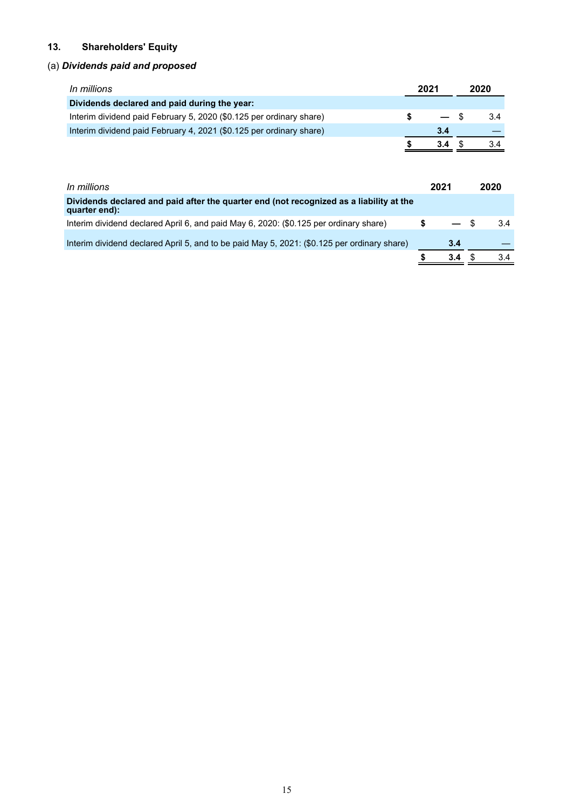# **13. Shareholders' Equity**

# (a) *Dividends paid and proposed*

| <i>In millions</i>                                                  | 2021 |      | 2020 |
|---------------------------------------------------------------------|------|------|------|
| Dividends declared and paid during the year:                        |      |      |      |
| Interim dividend paid February 5, 2020 (\$0.125 per ordinary share) |      | — \$ | 3.4  |
| Interim dividend paid February 4, 2021 (\$0.125 per ordinary share) |      | 3.4  |      |
|                                                                     |      | 3.4  | 3.4  |

| In millions                                                                                              | 2021 |     | 2020 |
|----------------------------------------------------------------------------------------------------------|------|-----|------|
| Dividends declared and paid after the quarter end (not recognized as a liability at the<br>quarter end): |      |     |      |
| Interim dividend declared April 6, and paid May 6, 2020: (\$0.125 per ordinary share)                    |      |     | 3.4  |
| Interim dividend declared April 5, and to be paid May 5, 2021: (\$0.125 per ordinary share)              |      | 3.4 |      |
|                                                                                                          |      | 34  |      |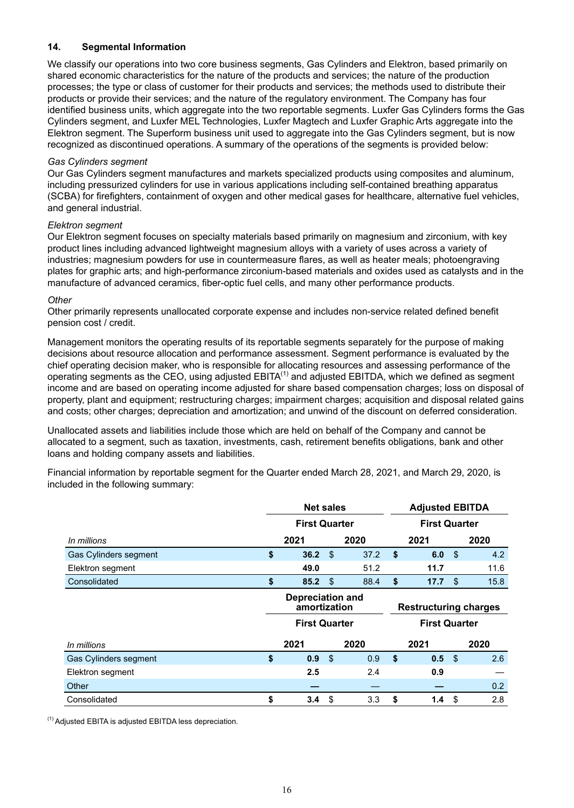# **14. Segmental Information**

We classify our operations into two core business segments, Gas Cylinders and Elektron, based primarily on shared economic characteristics for the nature of the products and services; the nature of the production processes; the type or class of customer for their products and services; the methods used to distribute their products or provide their services; and the nature of the regulatory environment. The Company has four identified business units, which aggregate into the two reportable segments. Luxfer Gas Cylinders forms the Gas Cylinders segment, and Luxfer MEL Technologies, Luxfer Magtech and Luxfer Graphic Arts aggregate into the Elektron segment. The Superform business unit used to aggregate into the Gas Cylinders segment, but is now recognized as discontinued operations. A summary of the operations of the segments is provided below:

#### *Gas Cylinders segment*

Our Gas Cylinders segment manufactures and markets specialized products using composites and aluminum, including pressurized cylinders for use in various applications including self-contained breathing apparatus (SCBA) for firefighters, containment of oxygen and other medical gases for healthcare, alternative fuel vehicles, and general industrial.

#### *Elektron segment*

Our Elektron segment focuses on specialty materials based primarily on magnesium and zirconium, with key product lines including advanced lightweight magnesium alloys with a variety of uses across a variety of industries; magnesium powders for use in countermeasure flares, as well as heater meals; photoengraving plates for graphic arts; and high-performance zirconium-based materials and oxides used as catalysts and in the manufacture of advanced ceramics, fiber-optic fuel cells, and many other performance products.

#### *Other*

Other primarily represents unallocated corporate expense and includes non-service related defined benefit pension cost / credit.

Management monitors the operating results of its reportable segments separately for the purpose of making decisions about resource allocation and performance assessment. Segment performance is evaluated by the chief operating decision maker, who is responsible for allocating resources and assessing performance of the operating segments as the CEO, using adjusted EBITA<sup>(1)</sup> and adjusted EBITDA, which we defined as segment income and are based on operating income adjusted for share based compensation charges; loss on disposal of property, plant and equipment; restructuring charges; impairment charges; acquisition and disposal related gains and costs; other charges; depreciation and amortization; and unwind of the discount on deferred consideration.

Unallocated assets and liabilities include those which are held on behalf of the Company and cannot be allocated to a segment, such as taxation, investments, cash, retirement benefits obligations, bank and other loans and holding company assets and liabilities.

Financial information by reportable segment for the Quarter ended March 28, 2021, and March 29, 2020, is included in the following summary:

|                       |                      | <b>Net sales</b>                                                |    |      |                              | <b>Adjusted EBITDA</b> |     |      |  |
|-----------------------|----------------------|-----------------------------------------------------------------|----|------|------------------------------|------------------------|-----|------|--|
|                       | <b>First Quarter</b> |                                                                 |    |      | <b>First Quarter</b>         |                        |     |      |  |
| In millions           |                      | 2021                                                            |    | 2020 |                              | 2021                   |     | 2020 |  |
| Gas Cylinders segment | \$                   | 36.2                                                            | \$ | 37.2 | Ŝ.                           | 6.0                    | -\$ | 4.2  |  |
| Elektron segment      |                      | 49.0                                                            |    | 51.2 |                              | 11.7                   |     | 11.6 |  |
| Consolidated          | \$                   | 85.2                                                            | \$ | 88.4 | \$                           | 17.7                   | \$  | 15.8 |  |
|                       |                      | <b>Depreciation and</b><br>amortization<br><b>First Quarter</b> |    |      | <b>Restructuring charges</b> |                        |     |      |  |
|                       |                      |                                                                 |    |      | <b>First Quarter</b>         |                        |     |      |  |
| In millions           |                      | 2021                                                            |    | 2020 |                              | 2021                   |     | 2020 |  |
| Gas Cylinders segment | \$                   | 0.9                                                             | \$ | 0.9  | \$                           | 0.5 <sup>5</sup>       |     | 2.6  |  |
| Elektron segment      |                      | 2.5                                                             |    | 2.4  |                              | 0.9                    |     |      |  |
| Other                 |                      |                                                                 |    |      |                              |                        |     | 0.2  |  |
| Consolidated          | \$                   | 3.4                                                             | \$ | 3.3  | \$                           | 1.4                    | \$  | 2.8  |  |

(1) Adjusted EBITA is adjusted EBITDA less depreciation.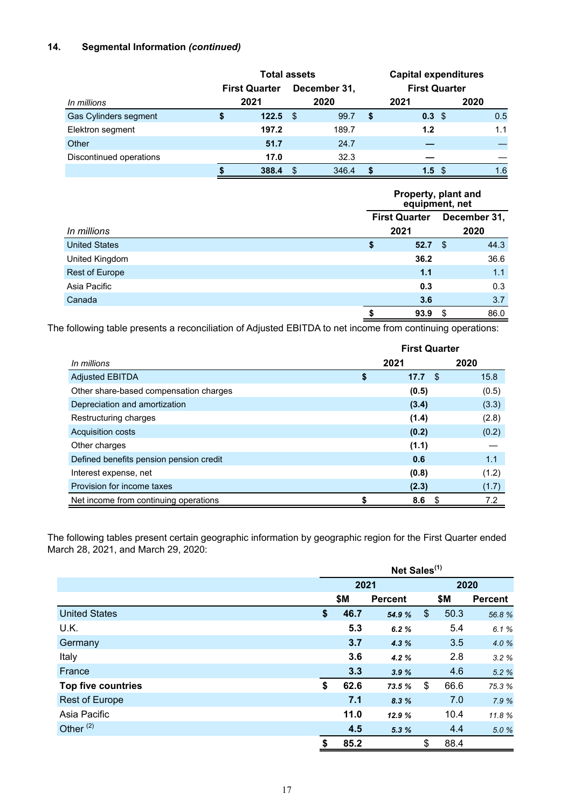# **14. Segmental Information** *(continued)*

|                         | <b>Total assets</b>  |       |              |       | <b>Capital expenditures</b> |                  |                      |  |  |
|-------------------------|----------------------|-------|--------------|-------|-----------------------------|------------------|----------------------|--|--|
|                         | <b>First Quarter</b> |       | December 31, |       |                             |                  | <b>First Quarter</b> |  |  |
| In millions             |                      | 2021  |              | 2020  |                             | 2021             | 2020                 |  |  |
| Gas Cylinders segment   | S                    | 122.5 | - \$         | 99.7  | S                           | 0.3 <sup>5</sup> | 0.5                  |  |  |
| Elektron segment        |                      | 197.2 |              | 189.7 |                             | 1.2              | 1.1                  |  |  |
| Other                   |                      | 51.7  |              | 24.7  |                             |                  |                      |  |  |
| Discontinued operations |                      | 17.0  |              | 32.3  |                             |                  |                      |  |  |
|                         |                      | 388.4 |              | 346.4 |                             | 1.5<br>- \$      | 1.6                  |  |  |

|                      |    | Property, plant and<br>equipment, net |      |      |  |  |  |  |
|----------------------|----|---------------------------------------|------|------|--|--|--|--|
|                      |    | <b>First Quarter</b><br>2021          |      |      |  |  |  |  |
| In millions          |    |                                       |      |      |  |  |  |  |
| <b>United States</b> | \$ | 52.7                                  | - \$ | 44.3 |  |  |  |  |
| United Kingdom       |    | 36.2                                  |      | 36.6 |  |  |  |  |
| Rest of Europe       |    | 1.1                                   |      | 1.1  |  |  |  |  |
| Asia Pacific         |    | 0.3                                   |      | 0.3  |  |  |  |  |
| Canada               |    | 3.6                                   |      | 3.7  |  |  |  |  |
|                      |    | 93.9                                  | S    | 86.0 |  |  |  |  |

The following table presents a reconciliation of Adjusted EBITDA to net income from continuing operations:

|                                         | <b>First Quarter</b> |             |       |  |  |  |  |
|-----------------------------------------|----------------------|-------------|-------|--|--|--|--|
| In millions                             |                      | 2021        | 2020  |  |  |  |  |
| <b>Adjusted EBITDA</b>                  | \$                   | 17.7<br>-\$ | 15.8  |  |  |  |  |
| Other share-based compensation charges  |                      | (0.5)       | (0.5) |  |  |  |  |
| Depreciation and amortization           |                      | (3.4)       | (3.3) |  |  |  |  |
| Restructuring charges                   |                      | (1.4)       | (2.8) |  |  |  |  |
| <b>Acquisition costs</b>                |                      | (0.2)       | (0.2) |  |  |  |  |
| Other charges                           |                      | (1.1)       |       |  |  |  |  |
| Defined benefits pension pension credit |                      | 0.6         | 1.1   |  |  |  |  |
| Interest expense, net                   |                      | (0.8)       | (1.2) |  |  |  |  |
| Provision for income taxes              |                      | (2.3)       | (1.7) |  |  |  |  |
| Net income from continuing operations   |                      | 8.6<br>S    | 7.2   |  |  |  |  |

The following tables present certain geographic information by geographic region for the First Quarter ended March 28, 2021, and March 29, 2020:

|                           | Net Sales <sup>(1)</sup> |                |                |      |                |  |  |
|---------------------------|--------------------------|----------------|----------------|------|----------------|--|--|
|                           | 2021                     |                |                | 2020 |                |  |  |
|                           | \$M                      | <b>Percent</b> |                | \$M  | <b>Percent</b> |  |  |
| <b>United States</b>      | \$<br>46.7               | 54.9 %         | $\mathfrak{S}$ | 50.3 | 56.8%          |  |  |
| U.K.                      | 5.3                      | 6.2%           |                | 5.4  | 6.1%           |  |  |
| Germany                   | 3.7                      | 4.3%           |                | 3.5  | 4.0 %          |  |  |
| Italy                     | 3.6                      | 4.2%           |                | 2.8  | 3.2%           |  |  |
| France                    | 3.3                      | 3.9%           |                | 4.6  | 5.2 %          |  |  |
| <b>Top five countries</b> | \$<br>62.6               | 73.5 %         | \$             | 66.6 | 75.3 %         |  |  |
| <b>Rest of Europe</b>     | 7.1                      | 8.3%           |                | 7.0  | 7.9 %          |  |  |
| Asia Pacific              | 11.0                     | 12.9 %         |                | 10.4 | 11.8%          |  |  |
| Other <sup>(2)</sup>      | 4.5                      | 5.3%           |                | 4.4  | 5.0%           |  |  |
|                           | \$<br>85.2               |                | \$             | 88.4 |                |  |  |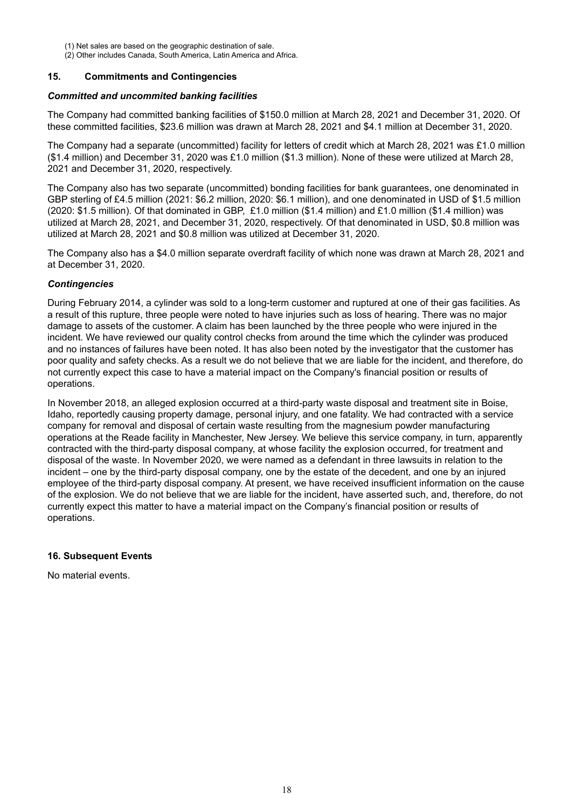- (1) Net sales are based on the geographic destination of sale.
- (2) Other includes Canada, South America, Latin America and Africa.

### **15. Commitments and Contingencies**

#### *Committed and uncommited banking facilities*

The Company had committed banking facilities of \$150.0 million at March 28, 2021 and December 31, 2020. Of these committed facilities, \$23.6 million was drawn at March 28, 2021 and \$4.1 million at December 31, 2020.

The Company had a separate (uncommitted) facility for letters of credit which at March 28, 2021 was £1.0 million (\$1.4 million) and December 31, 2020 was £1.0 million (\$1.3 million). None of these were utilized at March 28, 2021 and December 31, 2020, respectively.

The Company also has two separate (uncommitted) bonding facilities for bank guarantees, one denominated in GBP sterling of £4.5 million (2021: \$6.2 million, 2020: \$6.1 million), and one denominated in USD of \$1.5 million (2020: \$1.5 million). Of that dominated in GBP, £1.0 million (\$1.4 million) and £1.0 million (\$1.4 million) was utilized at March 28, 2021, and December 31, 2020, respectively. Of that denominated in USD, \$0.8 million was utilized at March 28, 2021 and \$0.8 million was utilized at December 31, 2020.

The Company also has a \$4.0 million separate overdraft facility of which none was drawn at March 28, 2021 and at December 31, 2020.

#### *Contingencies*

During February 2014, a cylinder was sold to a long-term customer and ruptured at one of their gas facilities. As a result of this rupture, three people were noted to have injuries such as loss of hearing. There was no major damage to assets of the customer. A claim has been launched by the three people who were injured in the incident. We have reviewed our quality control checks from around the time which the cylinder was produced and no instances of failures have been noted. It has also been noted by the investigator that the customer has poor quality and safety checks. As a result we do not believe that we are liable for the incident, and therefore, do not currently expect this case to have a material impact on the Company's financial position or results of operations.

In November 2018, an alleged explosion occurred at a third-party waste disposal and treatment site in Boise, Idaho, reportedly causing property damage, personal injury, and one fatality. We had contracted with a service company for removal and disposal of certain waste resulting from the magnesium powder manufacturing operations at the Reade facility in Manchester, New Jersey. We believe this service company, in turn, apparently contracted with the third-party disposal company, at whose facility the explosion occurred, for treatment and disposal of the waste. In November 2020, we were named as a defendant in three lawsuits in relation to the incident – one by the third-party disposal company, one by the estate of the decedent, and one by an injured employee of the third-party disposal company. At present, we have received insufficient information on the cause of the explosion. We do not believe that we are liable for the incident, have asserted such, and, therefore, do not currently expect this matter to have a material impact on the Company's financial position or results of operations.

# **16. Subsequent Events**

No material events.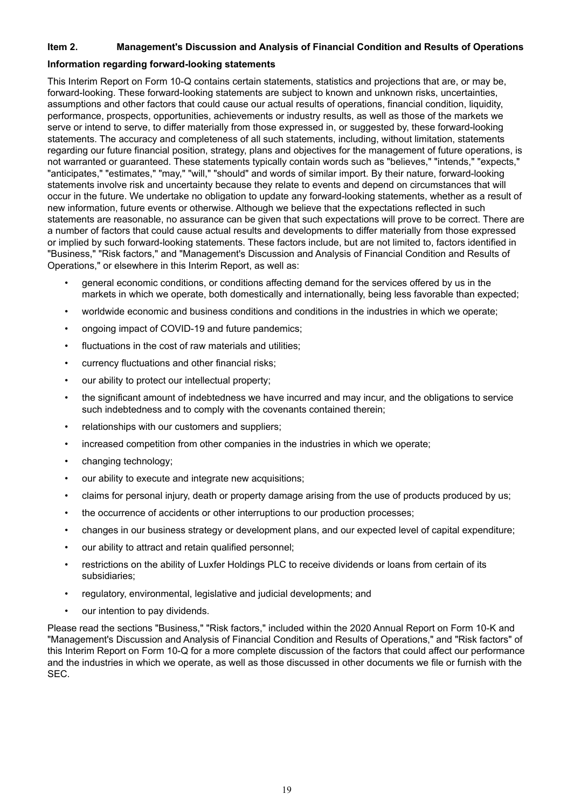# **Item 2. Management's Discussion and Analysis of Financial Condition and Results of Operations**

#### **Information regarding forward-looking statements**

This Interim Report on Form 10-Q contains certain statements, statistics and projections that are, or may be, forward-looking. These forward-looking statements are subject to known and unknown risks, uncertainties, assumptions and other factors that could cause our actual results of operations, financial condition, liquidity, performance, prospects, opportunities, achievements or industry results, as well as those of the markets we serve or intend to serve, to differ materially from those expressed in, or suggested by, these forward-looking statements. The accuracy and completeness of all such statements, including, without limitation, statements regarding our future financial position, strategy, plans and objectives for the management of future operations, is not warranted or guaranteed. These statements typically contain words such as "believes," "intends," "expects," "anticipates," "estimates," "may," "will," "should" and words of similar import. By their nature, forward-looking statements involve risk and uncertainty because they relate to events and depend on circumstances that will occur in the future. We undertake no obligation to update any forward-looking statements, whether as a result of new information, future events or otherwise. Although we believe that the expectations reflected in such statements are reasonable, no assurance can be given that such expectations will prove to be correct. There are a number of factors that could cause actual results and developments to differ materially from those expressed or implied by such forward-looking statements. These factors include, but are not limited to, factors identified in "Business," "Risk factors," and "Management's Discussion and Analysis of Financial Condition and Results of Operations," or elsewhere in this Interim Report, as well as:

- general economic conditions, or conditions affecting demand for the services offered by us in the markets in which we operate, both domestically and internationally, being less favorable than expected;
- worldwide economic and business conditions and conditions in the industries in which we operate;
- ongoing impact of COVID-19 and future pandemics;
- fluctuations in the cost of raw materials and utilities;
- currency fluctuations and other financial risks;
- our ability to protect our intellectual property;
- the significant amount of indebtedness we have incurred and may incur, and the obligations to service such indebtedness and to comply with the covenants contained therein;
- relationships with our customers and suppliers;
- increased competition from other companies in the industries in which we operate;
- changing technology;
- our ability to execute and integrate new acquisitions;
- claims for personal injury, death or property damage arising from the use of products produced by us;
- the occurrence of accidents or other interruptions to our production processes;
- changes in our business strategy or development plans, and our expected level of capital expenditure;
- our ability to attract and retain qualified personnel;
- restrictions on the ability of Luxfer Holdings PLC to receive dividends or loans from certain of its subsidiaries;
- regulatory, environmental, legislative and judicial developments; and
- our intention to pay dividends.

Please read the sections "Business," "Risk factors," included within the 2020 Annual Report on Form 10-K and "Management's Discussion and Analysis of Financial Condition and Results of Operations," and "Risk factors" of this Interim Report on Form 10-Q for a more complete discussion of the factors that could affect our performance and the industries in which we operate, as well as those discussed in other documents we file or furnish with the SEC.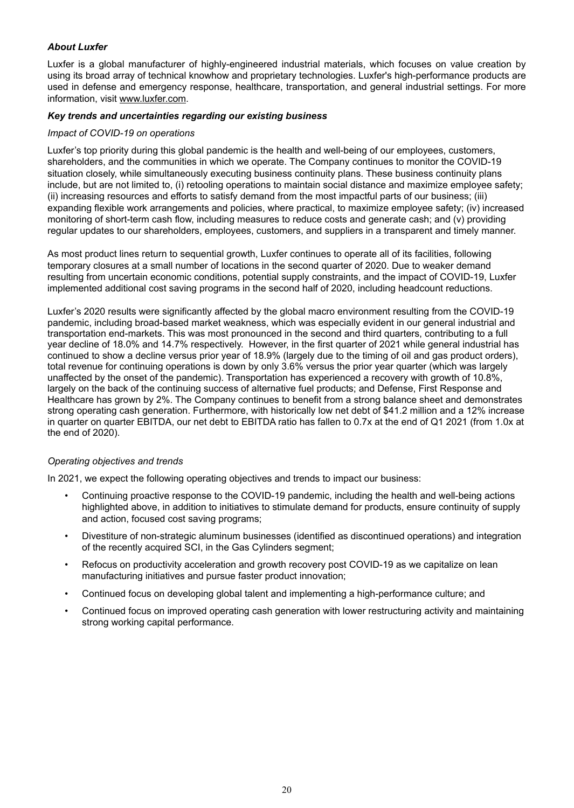# *About Luxfer*

Luxfer is a global manufacturer of highly-engineered industrial materials, which focuses on value creation by using its broad array of technical knowhow and proprietary technologies. Luxfer's high-performance products are used in defense and emergency response, healthcare, transportation, and general industrial settings. For more information, visit www.luxfer.com.

#### *Key trends and uncertainties regarding our existing business*

#### *Impact of COVID-19 on operations*

Luxfer's top priority during this global pandemic is the health and well-being of our employees, customers, shareholders, and the communities in which we operate. The Company continues to monitor the COVID-19 situation closely, while simultaneously executing business continuity plans. These business continuity plans include, but are not limited to, (i) retooling operations to maintain social distance and maximize employee safety; (ii) increasing resources and efforts to satisfy demand from the most impactful parts of our business; (iii) expanding flexible work arrangements and policies, where practical, to maximize employee safety; (iv) increased monitoring of short-term cash flow, including measures to reduce costs and generate cash; and (v) providing regular updates to our shareholders, employees, customers, and suppliers in a transparent and timely manner.

As most product lines return to sequential growth, Luxfer continues to operate all of its facilities, following temporary closures at a small number of locations in the second quarter of 2020. Due to weaker demand resulting from uncertain economic conditions, potential supply constraints, and the impact of COVID-19, Luxfer implemented additional cost saving programs in the second half of 2020, including headcount reductions.

Luxfer's 2020 results were significantly affected by the global macro environment resulting from the COVID-19 pandemic, including broad-based market weakness, which was especially evident in our general industrial and transportation end-markets. This was most pronounced in the second and third quarters, contributing to a full year decline of 18.0% and 14.7% respectively. However, in the first quarter of 2021 while general industrial has continued to show a decline versus prior year of 18.9% (largely due to the timing of oil and gas product orders), total revenue for continuing operations is down by only 3.6% versus the prior year quarter (which was largely unaffected by the onset of the pandemic). Transportation has experienced a recovery with growth of 10.8%, largely on the back of the continuing success of alternative fuel products; and Defense, First Response and Healthcare has grown by 2%. The Company continues to benefit from a strong balance sheet and demonstrates strong operating cash generation. Furthermore, with historically low net debt of \$41.2 million and a 12% increase in quarter on quarter EBITDA, our net debt to EBITDA ratio has fallen to 0.7x at the end of Q1 2021 (from 1.0x at the end of 2020).

# *Operating objectives and trends*

In 2021, we expect the following operating objectives and trends to impact our business:

- Continuing proactive response to the COVID-19 pandemic, including the health and well-being actions highlighted above, in addition to initiatives to stimulate demand for products, ensure continuity of supply and action, focused cost saving programs;
- Divestiture of non-strategic aluminum businesses (identified as discontinued operations) and integration of the recently acquired SCI, in the Gas Cylinders segment;
- Refocus on productivity acceleration and growth recovery post COVID-19 as we capitalize on lean manufacturing initiatives and pursue faster product innovation;
- Continued focus on developing global talent and implementing a high-performance culture; and
- Continued focus on improved operating cash generation with lower restructuring activity and maintaining strong working capital performance.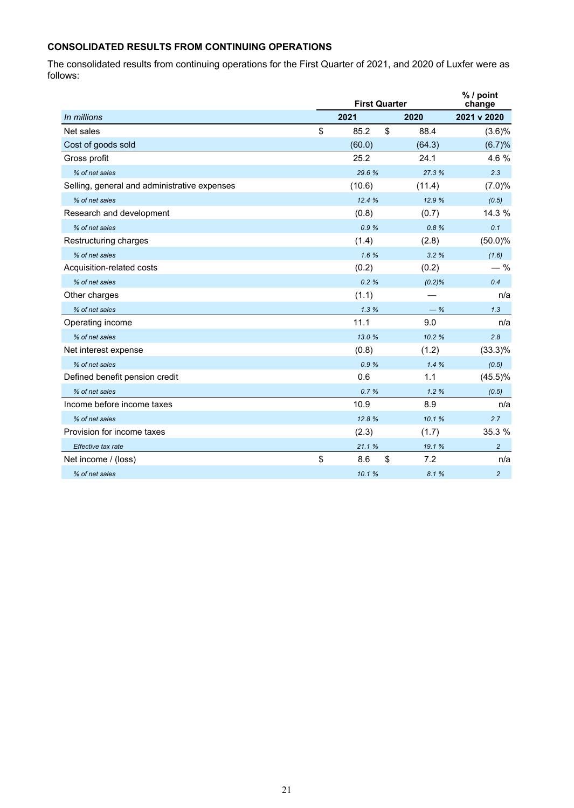# **CONSOLIDATED RESULTS FROM CONTINUING OPERATIONS**

The consolidated results from continuing operations for the First Quarter of 2021, and 2020 of Luxfer were as follows:

|                                              | <b>First Quarter</b> |           |                |  |  |  |
|----------------------------------------------|----------------------|-----------|----------------|--|--|--|
| In millions                                  | 2021                 | 2020      | 2021 v 2020    |  |  |  |
| Net sales                                    | \$<br>85.2<br>\$     | 88.4      | $(3.6)\%$      |  |  |  |
| Cost of goods sold                           | (60.0)               | (64.3)    | (6.7)%         |  |  |  |
| Gross profit                                 | 25.2                 | 24.1      | 4.6 %          |  |  |  |
| % of net sales                               | 29.6%                | 27.3 %    | 2.3            |  |  |  |
| Selling, general and administrative expenses | (10.6)               | (11.4)    | (7.0)%         |  |  |  |
| % of net sales                               | 12.4%                | 12.9 %    | (0.5)          |  |  |  |
| Research and development                     | (0.8)                | (0.7)     | 14.3 %         |  |  |  |
| % of net sales                               | 0.9%                 | 0.8%      | 0.1            |  |  |  |
| Restructuring charges                        | (1.4)                | (2.8)     | $(50.0)\%$     |  |  |  |
| % of net sales                               | 1.6%                 | 3.2%      | (1.6)          |  |  |  |
| Acquisition-related costs                    | (0.2)                | (0.2)     | $-$ %          |  |  |  |
| % of net sales                               | 0.2%                 | $(0.2)\%$ | 0.4            |  |  |  |
| Other charges                                | (1.1)                |           | n/a            |  |  |  |
| % of net sales                               | 1.3%                 | $-$ %     | 1.3            |  |  |  |
| Operating income                             | 11.1                 | 9.0       | n/a            |  |  |  |
| % of net sales                               | 13.0%                | 10.2%     | 2.8            |  |  |  |
| Net interest expense                         | (0.8)                | (1.2)     | $(33.3)\%$     |  |  |  |
| % of net sales                               | 0.9%                 | 1.4%      | (0.5)          |  |  |  |
| Defined benefit pension credit               | 0.6                  | 1.1       | $(45.5)\%$     |  |  |  |
| % of net sales                               | 0.7%                 | 1.2%      | (0.5)          |  |  |  |
| Income before income taxes                   | 10.9                 | 8.9       | n/a            |  |  |  |
| % of net sales                               | 12.8%                | 10.1%     | 2.7            |  |  |  |
| Provision for income taxes                   | (2.3)                | (1.7)     | 35.3 %         |  |  |  |
| Effective tax rate                           | 21.1%                | 19.1 %    | $\overline{a}$ |  |  |  |
| Net income / (loss)                          | \$<br>\$<br>8.6      | 7.2       | n/a            |  |  |  |
| % of net sales                               | 10.1%                | 8.1%      | $\overline{2}$ |  |  |  |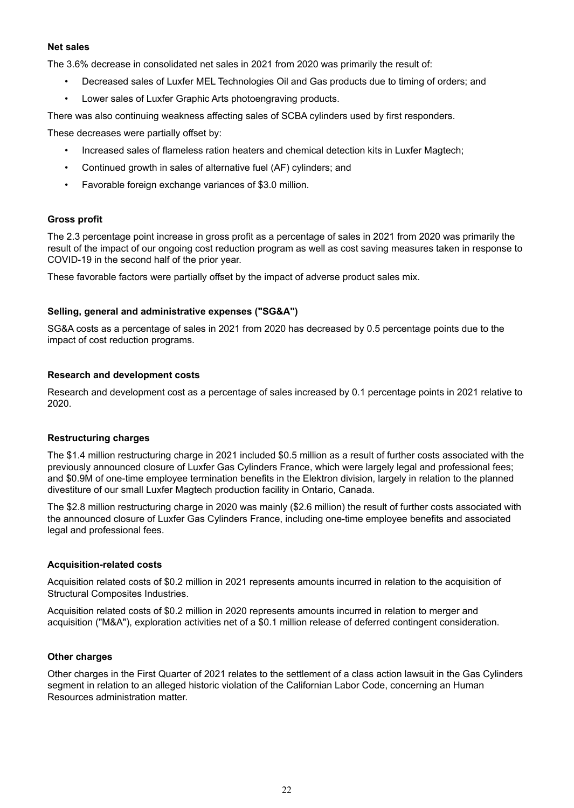#### **Net sales**

The 3.6% decrease in consolidated net sales in 2021 from 2020 was primarily the result of:

- Decreased sales of Luxfer MEL Technologies Oil and Gas products due to timing of orders; and
- Lower sales of Luxfer Graphic Arts photoengraving products.

There was also continuing weakness affecting sales of SCBA cylinders used by first responders.

These decreases were partially offset by:

- Increased sales of flameless ration heaters and chemical detection kits in Luxfer Magtech;
- Continued growth in sales of alternative fuel (AF) cylinders; and
- Favorable foreign exchange variances of \$3.0 million.

#### **Gross profit**

The 2.3 percentage point increase in gross profit as a percentage of sales in 2021 from 2020 was primarily the result of the impact of our ongoing cost reduction program as well as cost saving measures taken in response to COVID-19 in the second half of the prior year.

These favorable factors were partially offset by the impact of adverse product sales mix.

#### **Selling, general and administrative expenses ("SG&A")**

SG&A costs as a percentage of sales in 2021 from 2020 has decreased by 0.5 percentage points due to the impact of cost reduction programs.

#### **Research and development costs**

Research and development cost as a percentage of sales increased by 0.1 percentage points in 2021 relative to 2020.

#### **Restructuring charges**

The \$1.4 million restructuring charge in 2021 included \$0.5 million as a result of further costs associated with the previously announced closure of Luxfer Gas Cylinders France, which were largely legal and professional fees; and \$0.9M of one-time employee termination benefits in the Elektron division, largely in relation to the planned divestiture of our small Luxfer Magtech production facility in Ontario, Canada.

The \$2.8 million restructuring charge in 2020 was mainly (\$2.6 million) the result of further costs associated with the announced closure of Luxfer Gas Cylinders France, including one-time employee benefits and associated legal and professional fees.

#### **Acquisition-related costs**

Acquisition related costs of \$0.2 million in 2021 represents amounts incurred in relation to the acquisition of Structural Composites Industries.

Acquisition related costs of \$0.2 million in 2020 represents amounts incurred in relation to merger and acquisition ("M&A"), exploration activities net of a \$0.1 million release of deferred contingent consideration.

#### **Other charges**

Other charges in the First Quarter of 2021 relates to the settlement of a class action lawsuit in the Gas Cylinders segment in relation to an alleged historic violation of the Californian Labor Code, concerning an Human Resources administration matter.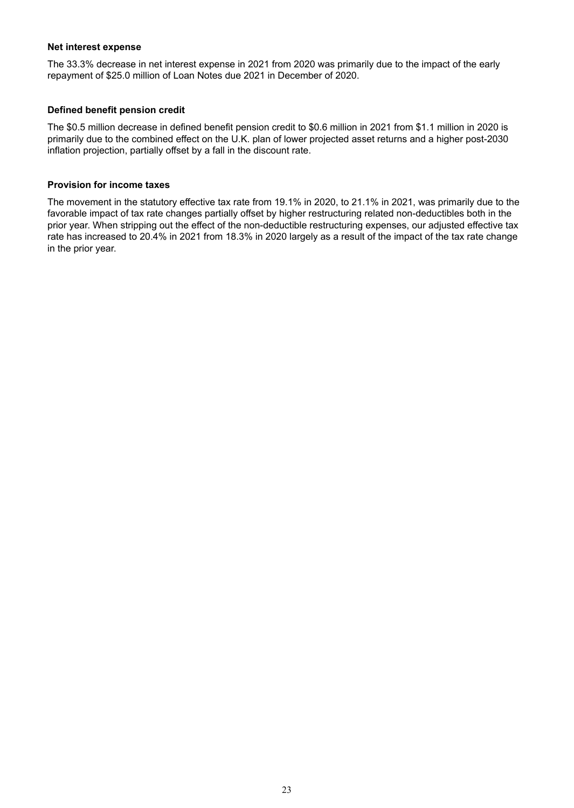#### **Net interest expense**

The 33.3% decrease in net interest expense in 2021 from 2020 was primarily due to the impact of the early repayment of \$25.0 million of Loan Notes due 2021 in December of 2020.

# **Defined benefit pension credit**

The \$0.5 million decrease in defined benefit pension credit to \$0.6 million in 2021 from \$1.1 million in 2020 is primarily due to the combined effect on the U.K. plan of lower projected asset returns and a higher post-2030 inflation projection, partially offset by a fall in the discount rate.

#### **Provision for income taxes**

The movement in the statutory effective tax rate from 19.1% in 2020, to 21.1% in 2021, was primarily due to the favorable impact of tax rate changes partially offset by higher restructuring related non-deductibles both in the prior year. When stripping out the effect of the non-deductible restructuring expenses, our adjusted effective tax rate has increased to 20.4% in 2021 from 18.3% in 2020 largely as a result of the impact of the tax rate change in the prior year.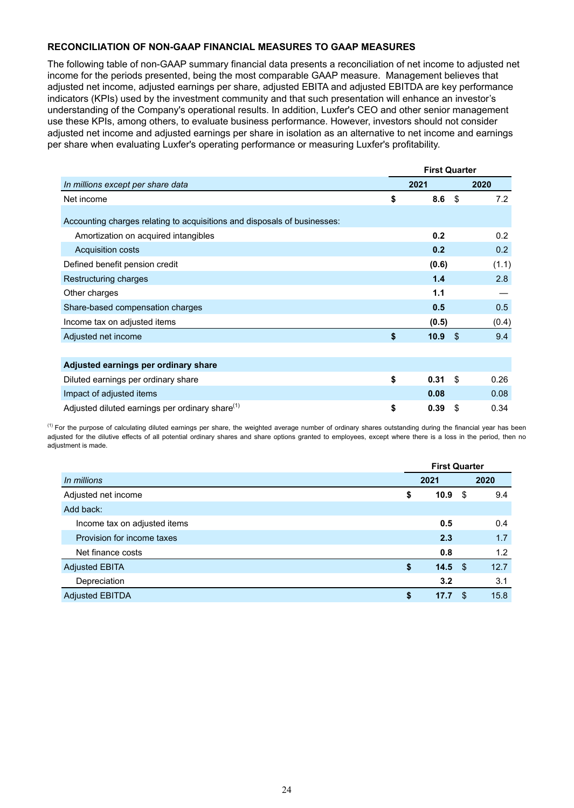# **RECONCILIATION OF NON-GAAP FINANCIAL MEASURES TO GAAP MEASURES**

The following table of non-GAAP summary financial data presents a reconciliation of net income to adjusted net income for the periods presented, being the most comparable GAAP measure. Management believes that adjusted net income, adjusted earnings per share, adjusted EBITA and adjusted EBITDA are key performance indicators (KPIs) used by the investment community and that such presentation will enhance an investor's understanding of the Company's operational results. In addition, Luxfer's CEO and other senior management use these KPIs, among others, to evaluate business performance. However, investors should not consider adjusted net income and adjusted earnings per share in isolation as an alternative to net income and earnings per share when evaluating Luxfer's operating performance or measuring Luxfer's profitability.

|                                                                          | <b>First Quarter</b> |       |    |       |
|--------------------------------------------------------------------------|----------------------|-------|----|-------|
| In millions except per share data                                        |                      | 2021  |    | 2020  |
| Net income                                                               | \$                   | 8.6   | \$ | 7.2   |
| Accounting charges relating to acquisitions and disposals of businesses: |                      |       |    |       |
| Amortization on acquired intangibles                                     |                      | 0.2   |    | 0.2   |
| <b>Acquisition costs</b>                                                 |                      | 0.2   |    | 0.2   |
| Defined benefit pension credit                                           |                      | (0.6) |    | (1.1) |
| Restructuring charges                                                    |                      | 1.4   |    | 2.8   |
| Other charges                                                            |                      | 1.1   |    |       |
| Share-based compensation charges                                         |                      | 0.5   |    | 0.5   |
| Income tax on adjusted items                                             |                      | (0.5) |    | (0.4) |
| Adjusted net income                                                      | \$                   | 10.9  | \$ | 9.4   |
|                                                                          |                      |       |    |       |
| Adjusted earnings per ordinary share                                     |                      |       |    |       |
| Diluted earnings per ordinary share                                      | \$                   | 0.31  | \$ | 0.26  |
| Impact of adjusted items                                                 |                      | 0.08  |    | 0.08  |
| Adjusted diluted earnings per ordinary share <sup>(1)</sup>              | \$                   | 0.39  | \$ | 0.34  |

<sup>(1)</sup> For the purpose of calculating diluted earnings per share, the weighted average number of ordinary shares outstanding during the financial year has been adjusted for the dilutive effects of all potential ordinary shares and share options granted to employees, except where there is a loss in the period, then no adjustment is made.

|                              | <b>First Quarter</b> |             |      |      |
|------------------------------|----------------------|-------------|------|------|
| In millions                  |                      | 2021        |      | 2020 |
| Adjusted net income          | \$                   | 10.9        | - \$ | 9.4  |
| Add back:                    |                      |             |      |      |
| Income tax on adjusted items |                      | 0.5         |      | 0.4  |
| Provision for income taxes   |                      | 2.3         |      | 1.7  |
| Net finance costs            |                      | 0.8         |      | 1.2  |
| <b>Adjusted EBITA</b>        | \$                   | $14.5\quad$ |      | 12.7 |
| Depreciation                 |                      | 3.2         |      | 3.1  |
| <b>Adjusted EBITDA</b>       | \$                   | 17.7        | \$.  | 15.8 |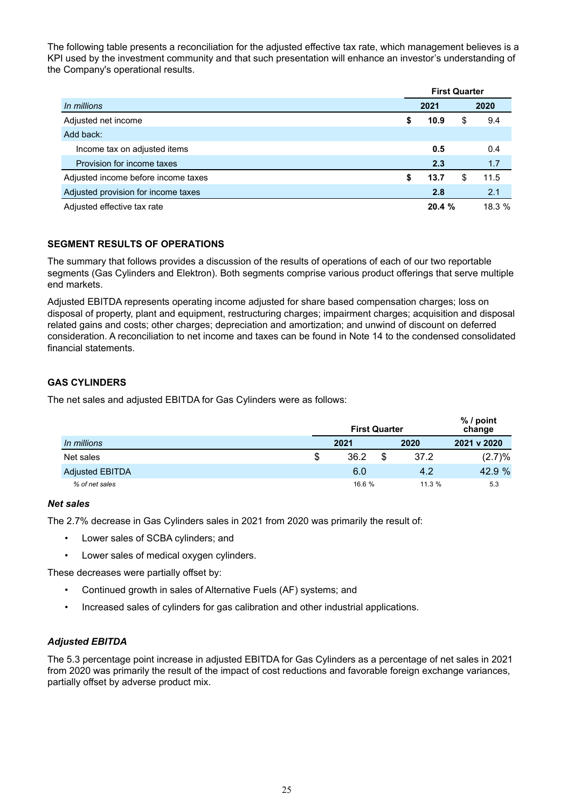The following table presents a reconciliation for the adjusted effective tax rate, which management believes is a KPI used by the investment community and that such presentation will enhance an investor's understanding of the Company's operational results.

|                                     | <b>First Quarter</b> |        |    |       |
|-------------------------------------|----------------------|--------|----|-------|
| In millions                         | 2021                 |        |    | 2020  |
| Adjusted net income                 | S                    | 10.9   | \$ | 9.4   |
| Add back:                           |                      |        |    |       |
| Income tax on adjusted items        |                      | 0.5    |    | 0.4   |
| Provision for income taxes          |                      | 2.3    |    | 1.7   |
| Adjusted income before income taxes | S                    | 13.7   | S  | 11.5  |
| Adjusted provision for income taxes |                      | 2.8    |    | 2.1   |
| Adjusted effective tax rate         |                      | 20.4 % |    | 18.3% |

# **SEGMENT RESULTS OF OPERATIONS**

The summary that follows provides a discussion of the results of operations of each of our two reportable segments (Gas Cylinders and Elektron). Both segments comprise various product offerings that serve multiple end markets.

Adjusted EBITDA represents operating income adjusted for share based compensation charges; loss on disposal of property, plant and equipment, restructuring charges; impairment charges; acquisition and disposal related gains and costs; other charges; depreciation and amortization; and unwind of discount on deferred consideration. A reconciliation to net income and taxes can be found in Note 14 to the condensed consolidated financial statements.

# **GAS CYLINDERS**

The net sales and adjusted EBITDA for Gas Cylinders were as follows:

|                        | <b>First Quarter</b> |      | % / point<br>change |        |  |
|------------------------|----------------------|------|---------------------|--------|--|
| In millions            | 2021                 | 2020 | 2021 v 2020         |        |  |
| Net sales              | \$<br>36.2           |      | 37.2                | (2.7)% |  |
| <b>Adjusted EBITDA</b> | 6.0                  |      | 4.2                 | 42.9 % |  |
| % of net sales         | 16.6 %               |      | 11.3%               | 5.3    |  |

#### *Net sales*

The 2.7% decrease in Gas Cylinders sales in 2021 from 2020 was primarily the result of:

- Lower sales of SCBA cylinders; and
- Lower sales of medical oxygen cylinders.

These decreases were partially offset by:

- Continued growth in sales of Alternative Fuels (AF) systems; and
- Increased sales of cylinders for gas calibration and other industrial applications.

# *Adjusted EBITDA*

The 5.3 percentage point increase in adjusted EBITDA for Gas Cylinders as a percentage of net sales in 2021 from 2020 was primarily the result of the impact of cost reductions and favorable foreign exchange variances, partially offset by adverse product mix.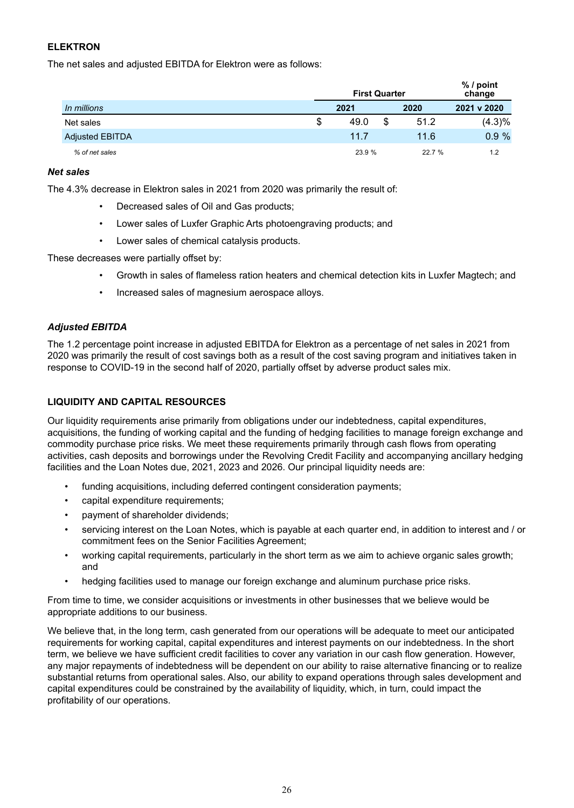# **ELEKTRON**

The net sales and adjusted EBITDA for Elektron were as follows:

|                        | <b>First Quarter</b> | $%$ / point<br>change |        |  |  |
|------------------------|----------------------|-----------------------|--------|--|--|
| In millions            | 2021                 | 2021 v 2020           |        |  |  |
| Net sales              | \$<br>49.0           | \$<br>51.2            | (4.3)% |  |  |
| <b>Adjusted EBITDA</b> | 11.7                 | 11.6                  | 0.9%   |  |  |
| % of net sales         | 23.9 %               | 22.7 %                | 1.2    |  |  |

### *Net sales*

The 4.3% decrease in Elektron sales in 2021 from 2020 was primarily the result of:

- Decreased sales of Oil and Gas products;
- Lower sales of Luxfer Graphic Arts photoengraving products; and
- Lower sales of chemical catalysis products.

These decreases were partially offset by:

- Growth in sales of flameless ration heaters and chemical detection kits in Luxfer Magtech; and
- Increased sales of magnesium aerospace alloys.

# *Adjusted EBITDA*

The 1.2 percentage point increase in adjusted EBITDA for Elektron as a percentage of net sales in 2021 from 2020 was primarily the result of cost savings both as a result of the cost saving program and initiatives taken in response to COVID-19 in the second half of 2020, partially offset by adverse product sales mix.

### **LIQUIDITY AND CAPITAL RESOURCES**

Our liquidity requirements arise primarily from obligations under our indebtedness, capital expenditures, acquisitions, the funding of working capital and the funding of hedging facilities to manage foreign exchange and commodity purchase price risks. We meet these requirements primarily through cash flows from operating activities, cash deposits and borrowings under the Revolving Credit Facility and accompanying ancillary hedging facilities and the Loan Notes due, 2021, 2023 and 2026. Our principal liquidity needs are:

- funding acquisitions, including deferred contingent consideration payments;
- capital expenditure requirements;
- payment of shareholder dividends;
- servicing interest on the Loan Notes, which is payable at each quarter end, in addition to interest and / or commitment fees on the Senior Facilities Agreement;
- working capital requirements, particularly in the short term as we aim to achieve organic sales growth; and
- hedging facilities used to manage our foreign exchange and aluminum purchase price risks.

From time to time, we consider acquisitions or investments in other businesses that we believe would be appropriate additions to our business.

We believe that, in the long term, cash generated from our operations will be adequate to meet our anticipated requirements for working capital, capital expenditures and interest payments on our indebtedness. In the short term, we believe we have sufficient credit facilities to cover any variation in our cash flow generation. However, any major repayments of indebtedness will be dependent on our ability to raise alternative financing or to realize substantial returns from operational sales. Also, our ability to expand operations through sales development and capital expenditures could be constrained by the availability of liquidity, which, in turn, could impact the profitability of our operations.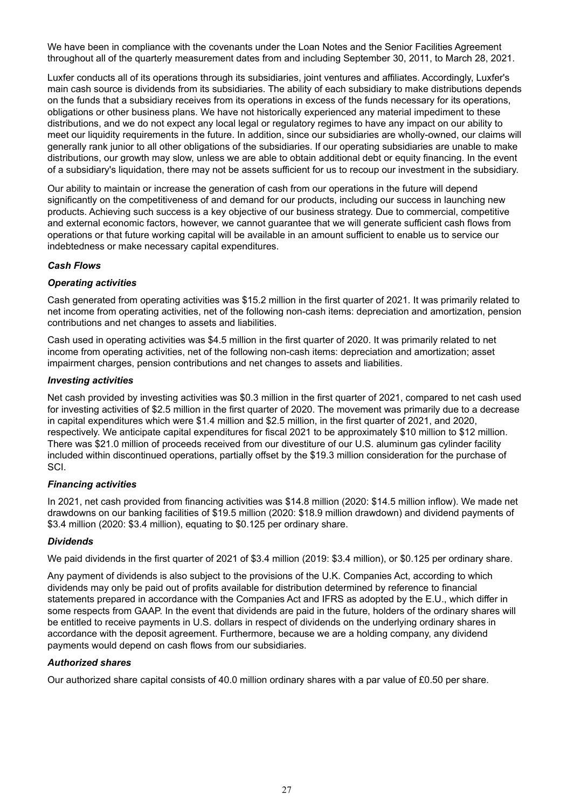We have been in compliance with the covenants under the Loan Notes and the Senior Facilities Agreement throughout all of the quarterly measurement dates from and including September 30, 2011, to March 28, 2021.

Luxfer conducts all of its operations through its subsidiaries, joint ventures and affiliates. Accordingly, Luxfer's main cash source is dividends from its subsidiaries. The ability of each subsidiary to make distributions depends on the funds that a subsidiary receives from its operations in excess of the funds necessary for its operations, obligations or other business plans. We have not historically experienced any material impediment to these distributions, and we do not expect any local legal or regulatory regimes to have any impact on our ability to meet our liquidity requirements in the future. In addition, since our subsidiaries are wholly-owned, our claims will generally rank junior to all other obligations of the subsidiaries. If our operating subsidiaries are unable to make distributions, our growth may slow, unless we are able to obtain additional debt or equity financing. In the event of a subsidiary's liquidation, there may not be assets sufficient for us to recoup our investment in the subsidiary.

Our ability to maintain or increase the generation of cash from our operations in the future will depend significantly on the competitiveness of and demand for our products, including our success in launching new products. Achieving such success is a key objective of our business strategy. Due to commercial, competitive and external economic factors, however, we cannot guarantee that we will generate sufficient cash flows from operations or that future working capital will be available in an amount sufficient to enable us to service our indebtedness or make necessary capital expenditures.

# *Cash Flows*

# *Operating activities*

Cash generated from operating activities was \$15.2 million in the first quarter of 2021. It was primarily related to net income from operating activities, net of the following non-cash items: depreciation and amortization, pension contributions and net changes to assets and liabilities.

Cash used in operating activities was \$4.5 million in the first quarter of 2020. It was primarily related to net income from operating activities, net of the following non-cash items: depreciation and amortization; asset impairment charges, pension contributions and net changes to assets and liabilities.

#### *Investing activities*

Net cash provided by investing activities was \$0.3 million in the first quarter of 2021, compared to net cash used for investing activities of \$2.5 million in the first quarter of 2020. The movement was primarily due to a decrease in capital expenditures which were \$1.4 million and \$2.5 million, in the first quarter of 2021, and 2020, respectively. We anticipate capital expenditures for fiscal 2021 to be approximately \$10 million to \$12 million. There was \$21.0 million of proceeds received from our divestiture of our U.S. aluminum gas cylinder facility included within discontinued operations, partially offset by the \$19.3 million consideration for the purchase of SCI.

#### *Financing activities*

In 2021, net cash provided from financing activities was \$14.8 million (2020: \$14.5 million inflow). We made net drawdowns on our banking facilities of \$19.5 million (2020: \$18.9 million drawdown) and dividend payments of \$3.4 million (2020: \$3.4 million), equating to \$0.125 per ordinary share.

#### *Dividends*

We paid dividends in the first quarter of 2021 of \$3.4 million (2019: \$3.4 million), or \$0.125 per ordinary share.

Any payment of dividends is also subject to the provisions of the U.K. Companies Act, according to which dividends may only be paid out of profits available for distribution determined by reference to financial statements prepared in accordance with the Companies Act and IFRS as adopted by the E.U., which differ in some respects from GAAP. In the event that dividends are paid in the future, holders of the ordinary shares will be entitled to receive payments in U.S. dollars in respect of dividends on the underlying ordinary shares in accordance with the deposit agreement. Furthermore, because we are a holding company, any dividend payments would depend on cash flows from our subsidiaries.

# *Authorized shares*

Our authorized share capital consists of 40.0 million ordinary shares with a par value of £0.50 per share.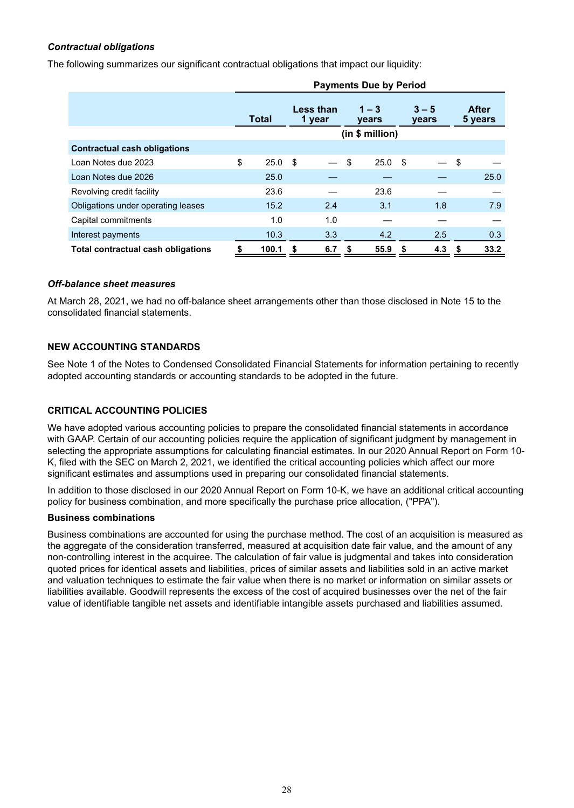# *Contractual obligations*

The following summarizes our significant contractual obligations that impact our liquidity:

|                                           | <b>Payments Due by Period</b> |              |                            |     |                         |      |                  |     |      |                         |
|-------------------------------------------|-------------------------------|--------------|----------------------------|-----|-------------------------|------|------------------|-----|------|-------------------------|
|                                           |                               | <b>Total</b> | <b>Less than</b><br>1 year |     | $1 - 3$<br><b>vears</b> |      | $3 - 5$<br>years |     |      | <b>After</b><br>5 years |
|                                           |                               |              | (in \$ million)            |     |                         |      |                  |     |      |                         |
| <b>Contractual cash obligations</b>       |                               |              |                            |     |                         |      |                  |     |      |                         |
| Loan Notes due 2023                       | \$                            | 25.0         | \$                         |     | \$                      | 25.0 | - \$             |     | \$   |                         |
| Loan Notes due 2026                       |                               | 25.0         |                            |     |                         |      |                  |     |      | 25.0                    |
| Revolving credit facility                 |                               | 23.6         |                            |     |                         | 23.6 |                  |     |      |                         |
| Obligations under operating leases        |                               | 15.2         |                            | 2.4 |                         | 3.1  |                  | 1.8 |      | 7.9                     |
| Capital commitments                       |                               | 1.0          |                            | 1.0 |                         |      |                  |     |      |                         |
| Interest payments                         |                               | 10.3         |                            | 3.3 |                         | 4.2  |                  | 2.5 |      | 0.3                     |
| <b>Total contractual cash obligations</b> | \$                            | 100.1        | S                          | 6.7 | \$                      | 55.9 | \$               | 4.3 | - \$ | 33.2                    |

#### *Off-balance sheet measures*

At March 28, 2021, we had no off-balance sheet arrangements other than those disclosed in Note 15 to the consolidated financial statements.

#### **NEW ACCOUNTING STANDARDS**

See Note 1 of the Notes to Condensed Consolidated Financial Statements for information pertaining to recently adopted accounting standards or accounting standards to be adopted in the future.

# **CRITICAL ACCOUNTING POLICIES**

We have adopted various accounting policies to prepare the consolidated financial statements in accordance with GAAP. Certain of our accounting policies require the application of significant judgment by management in selecting the appropriate assumptions for calculating financial estimates. In our 2020 Annual Report on Form 10- K, filed with the SEC on March 2, 2021, we identified the critical accounting policies which affect our more significant estimates and assumptions used in preparing our consolidated financial statements.

In addition to those disclosed in our 2020 Annual Report on Form 10-K, we have an additional critical accounting policy for business combination, and more specifically the purchase price allocation, ("PPA").

#### **Business combinations**

Business combinations are accounted for using the purchase method. The cost of an acquisition is measured as the aggregate of the consideration transferred, measured at acquisition date fair value, and the amount of any non-controlling interest in the acquiree. The calculation of fair value is judgmental and takes into consideration quoted prices for identical assets and liabilities, prices of similar assets and liabilities sold in an active market and valuation techniques to estimate the fair value when there is no market or information on similar assets or liabilities available. Goodwill represents the excess of the cost of acquired businesses over the net of the fair value of identifiable tangible net assets and identifiable intangible assets purchased and liabilities assumed.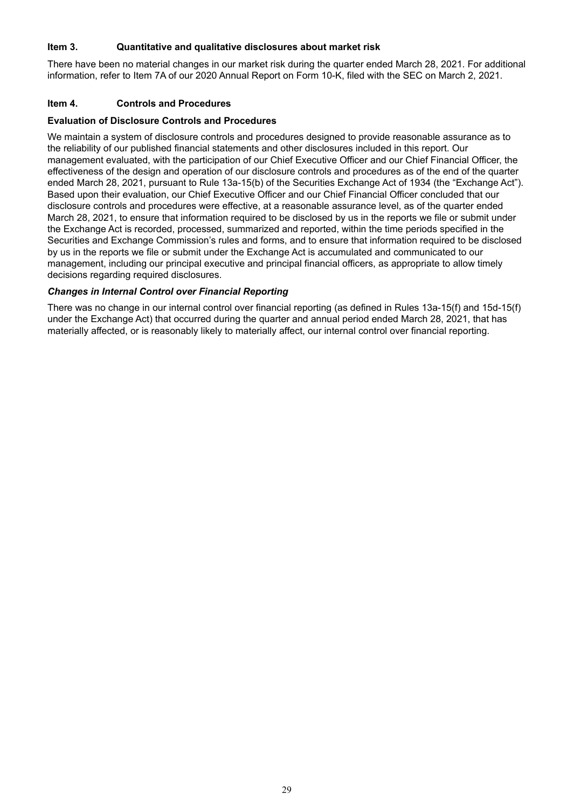# **Item 3. Quantitative and qualitative disclosures about market risk**

There have been no material changes in our market risk during the quarter ended March 28, 2021. For additional information, refer to Item 7A of our 2020 Annual Report on Form 10-K, filed with the SEC on March 2, 2021.

#### **Item 4. Controls and Procedures**

#### **Evaluation of Disclosure Controls and Procedures**

We maintain a system of disclosure controls and procedures designed to provide reasonable assurance as to the reliability of our published financial statements and other disclosures included in this report. Our management evaluated, with the participation of our Chief Executive Officer and our Chief Financial Officer, the effectiveness of the design and operation of our disclosure controls and procedures as of the end of the quarter ended March 28, 2021, pursuant to Rule 13a-15(b) of the Securities Exchange Act of 1934 (the "Exchange Act"). Based upon their evaluation, our Chief Executive Officer and our Chief Financial Officer concluded that our disclosure controls and procedures were effective, at a reasonable assurance level, as of the quarter ended March 28, 2021, to ensure that information required to be disclosed by us in the reports we file or submit under the Exchange Act is recorded, processed, summarized and reported, within the time periods specified in the Securities and Exchange Commission's rules and forms, and to ensure that information required to be disclosed by us in the reports we file or submit under the Exchange Act is accumulated and communicated to our management, including our principal executive and principal financial officers, as appropriate to allow timely decisions regarding required disclosures.

#### *Changes in Internal Control over Financial Reporting*

There was no change in our internal control over financial reporting (as defined in Rules 13a-15(f) and 15d-15(f) under the Exchange Act) that occurred during the quarter and annual period ended March 28, 2021, that has materially affected, or is reasonably likely to materially affect, our internal control over financial reporting.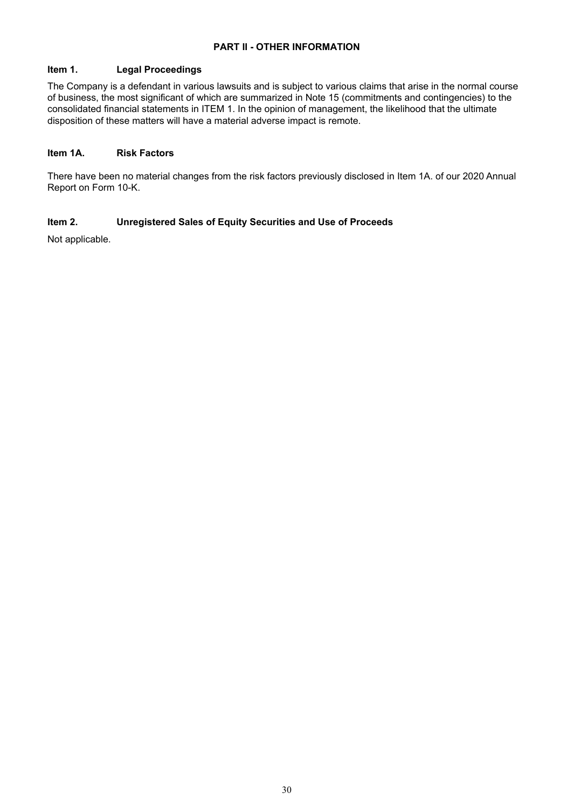# **PART II - OTHER INFORMATION**

# **Item 1. Legal Proceedings**

The Company is a defendant in various lawsuits and is subject to various claims that arise in the normal course of business, the most significant of which are summarized in Note 15 (commitments and contingencies) to the consolidated financial statements in ITEM 1. In the opinion of management, the likelihood that the ultimate disposition of these matters will have a material adverse impact is remote.

### **Item 1A. Risk Factors**

There have been no material changes from the risk factors previously disclosed in Item 1A. of our 2020 Annual Report on Form 10-K.

# **Item 2. Unregistered Sales of Equity Securities and Use of Proceeds**

Not applicable.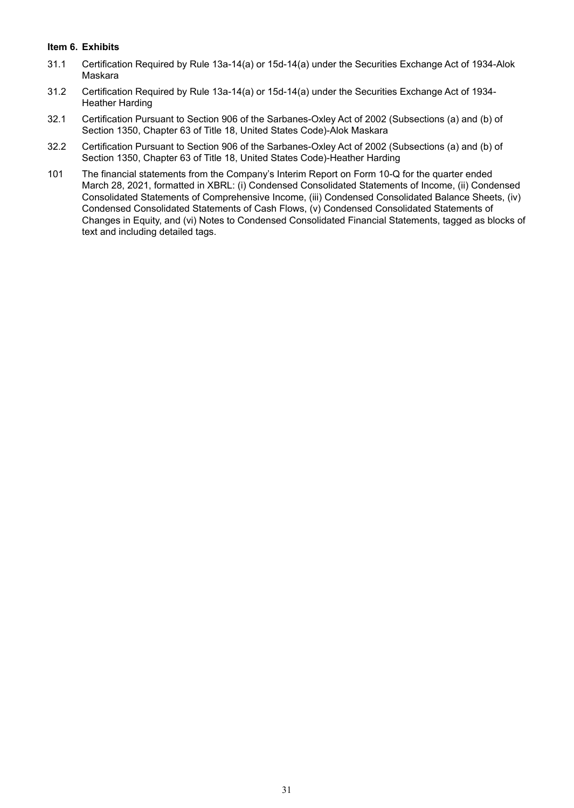# **Item 6. Exhibits**

- 31.1 Certification Required by Rule 13a-14(a) or 15d-14(a) under the Securities Exchange Act of 1934-Alok Maskara
- 31.2 Certification Required by Rule 13a-14(a) or 15d-14(a) under the Securities Exchange Act of 1934- Heather Harding
- 32.1 Certification Pursuant to Section 906 of the Sarbanes-Oxley Act of 2002 (Subsections (a) and (b) of Section 1350, Chapter 63 of Title 18, United States Code)-Alok Maskara
- 32.2 Certification Pursuant to Section 906 of the Sarbanes-Oxley Act of 2002 (Subsections (a) and (b) of Section 1350, Chapter 63 of Title 18, United States Code)-Heather Harding
- 101 The financial statements from the Company's Interim Report on Form 10-Q for the quarter ended March 28, 2021, formatted in XBRL: (i) Condensed Consolidated Statements of Income, (ii) Condensed Consolidated Statements of Comprehensive Income, (iii) Condensed Consolidated Balance Sheets, (iv) Condensed Consolidated Statements of Cash Flows, (v) Condensed Consolidated Statements of Changes in Equity, and (vi) Notes to Condensed Consolidated Financial Statements, tagged as blocks of text and including detailed tags.